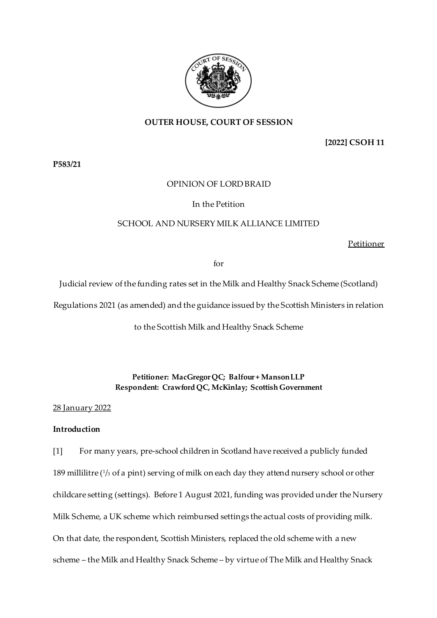

# **OUTER HOUSE, COURT OF SESSION**

## **[2022] CSOH 11**

**P583/21**

## OPINION OF LORD BRAID

## In the Petition

# SCHOOL AND NURSERY MILK ALLIANCE LIMITED

Petitioner

for

Judicial review of the funding rates set in the Milk and Healthy Snack Scheme (Scotland)

Regulations 2021 (as amended) and the guidance issued by the Scottish Ministers in relation

to the Scottish Milk and Healthy Snack Scheme

## **Petitioner: MacGregor QC; Balfour + Manson LLP Respondent: Crawford QC, McKinlay; Scottish Government**

28 January 2022

# **Introduction**

[1] For many years, pre-school children in Scotland have received a publicly funded 189 millilitre (<sup>1</sup> /<sup>3</sup> of a pint) serving of milk on each day they attend nursery school or other childcare setting (settings). Before 1 August 2021, funding was provided under the Nursery Milk Scheme, a UK scheme which reimbursed settings the actual costs of providing milk. On that date, the respondent, Scottish Ministers, replaced the old scheme with a new scheme – the Milk and Healthy Snack Scheme – by virtue of The Milk and Healthy Snack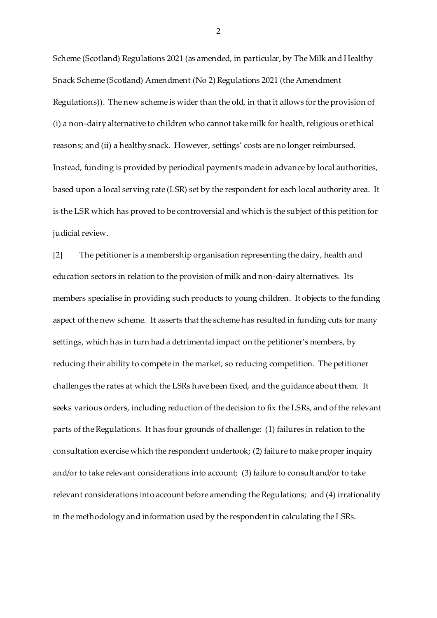Scheme (Scotland) Regulations 2021 (as amended, in particular, by The Milk and Healthy Snack Scheme (Scotland) Amendment (No 2) Regulations 2021 (the Amendment Regulations)). The new scheme is wider than the old, in that it allows for the provision of (i) a non-dairy alternative to children who cannot take milk for health, religious or ethical reasons; and (ii) a healthy snack. However, settings' costs are no longer reimbursed. Instead, funding is provided by periodical payments made in advance by local authorities, based upon a local serving rate (LSR) set by the respondent for each local authority area. It is the LSR which has proved to be controversial and which is the subject of this petition for judicial review.

[2] The petitioner is a membership organisation representing the dairy, health and education sectors in relation to the provision of milk and non-dairy alternatives. Its members specialise in providing such products to young children. It objects to the funding aspect of the new scheme. It asserts that the scheme has resulted in funding cuts for many settings, which has in turn had a detrimental impact on the petitioner's members, by reducing their ability to compete in the market, so reducing competition. The petitioner challenges the rates at which the LSRs have been fixed, and the guidance about them. It seeks various orders, including reduction of the decision to fix the LSRs, and of the relevant parts of the Regulations. It has four grounds of challenge: (1) failures in relation to the consultation exercise which the respondent undertook; (2) failure to make proper inquiry and/or to take relevant considerations into account; (3) failure to consult and/or to take relevant considerations into account before amending the Regulations; and (4) irrationality in the methodology and information used by the respondent in calculating the LSRs.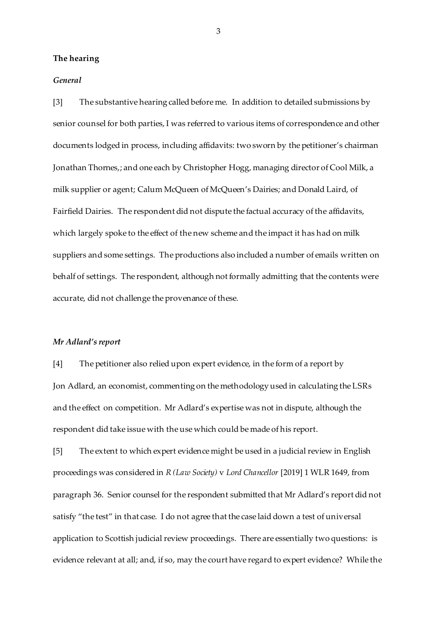### **The hearing**

### *General*

[3] The substantive hearing called before me. In addition to detailed submissions by senior counsel for both parties, I was referred to various items of correspondence and other documents lodged in process, including affidavits: two sworn by the petitioner's chairman Jonathan Thornes,; and one each by Christopher Hogg, managing director of Cool Milk, a milk supplier or agent; Calum McQueen of McQueen's Dairies; and Donald Laird, of Fairfield Dairies. The respondent did not dispute the factual accuracy of the affidavits, which largely spoke to the effect of the new scheme and the impact it has had on milk suppliers and some settings. The productions also included a number of emails written on behalf of settings. The respondent, although not formally admitting that the contents were accurate, did not challenge the provenance of these.

### *Mr Adlard's report*

[4] The petitioner also relied upon expert evidence, in the form of a report by Jon Adlard, an economist, commenting on the methodology used in calculating the LSRs and the effect on competition. Mr Adlard's expertise was not in dispute, although the respondent did take issue with the use which could be made of his report.

[5] The extent to which expert evidence might be used in a judicial review in English proceedings was considered in *R (Law Society)* v *Lord Chancellor* [2019] 1 WLR 1649, from paragraph 36. Senior counsel for the respondent submitted that Mr Adlard's report did not satisfy "the test" in that case. I do not agree that the case laid down a test of universal application to Scottish judicial review proceedings. There are essentially two questions: is evidence relevant at all; and, if so, may the court have regard to expert evidence? While the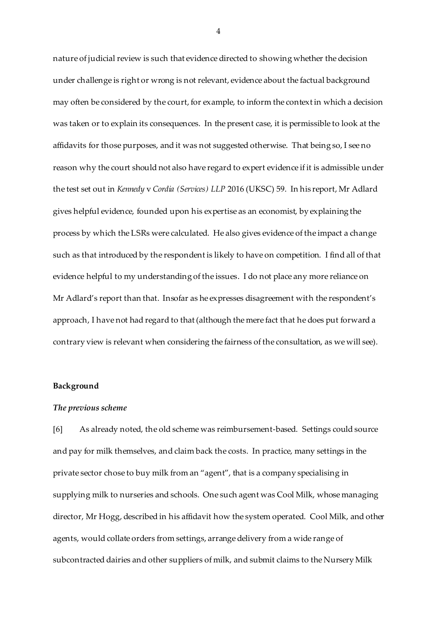nature of judicial review is such that evidence directed to showing whether the decision under challenge is right or wrong is not relevant, evidence about the factual background may often be considered by the court, for example, to inform the context in which a decision was taken or to explain its consequences. In the present case, it is permissible to look at the affidavits for those purposes, and it was not suggested otherwise. That being so, I see no reason why the court should not also have regard to expert evidence if it is admissible under the test set out in *Kennedy* v *Cordia (Services) LLP* 2016 (UKSC) 59. In his report, Mr Adlard gives helpful evidence, founded upon his expertise as an economist, by explaining the process by which the LSRs were calculated. He also gives evidence of the impact a change such as that introduced by the respondent is likely to have on competition. I find all of that evidence helpful to my understanding of the issues. I do not place any more reliance on Mr Adlard's report than that. Insofar as he expresses disagreement with the respondent's approach, I have not had regard to that (although the mere fact that he does put forward a contrary view is relevant when considering the fairness of the consultation, as we will see).

#### **Background**

#### *The previous scheme*

[6] As already noted, the old scheme was reimbursement-based. Settings could source and pay for milk themselves, and claim back the costs. In practice, many settings in the private sector chose to buy milk from an "agent", that is a company specialising in supplying milk to nurseries and schools. One such agent was Cool Milk, whose managing director, Mr Hogg, described in his affidavit how the system operated. Cool Milk, and other agents, would collate orders from settings, arrange delivery from a wide range of subcontracted dairies and other suppliers of milk, and submit claims to the Nursery Milk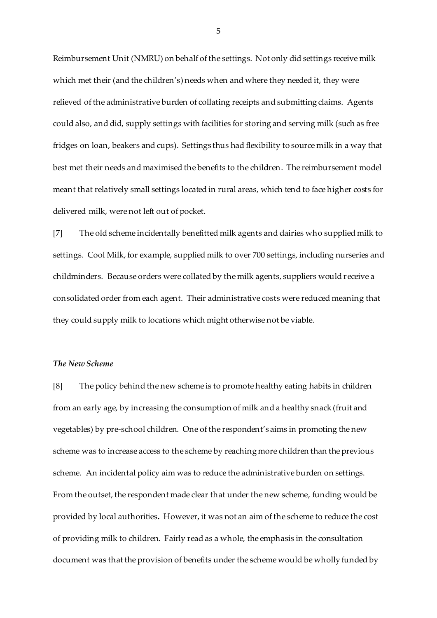Reimbursement Unit (NMRU) on behalf of the settings. Not only did settings receive milk which met their (and the children's) needs when and where they needed it, they were relieved of the administrative burden of collating receipts and submitting claims. Agents could also, and did, supply settings with facilities for storing and serving milk (such as free fridges on loan, beakers and cups). Settings thus had flexibility to source milk in a way that best met their needs and maximised the benefits to the children. The reimbursement model meant that relatively small settings located in rural areas, which tend to face higher costs for delivered milk, were not left out of pocket.

[7] The old scheme incidentally benefitted milk agents and dairies who supplied milk to settings. Cool Milk, for example, supplied milk to over 700 settings, including nurseries and childminders. Because orders were collated by the milk agents, suppliers would receive a consolidated order from each agent. Their administrative costs were reduced meaning that they could supply milk to locations which might otherwise not be viable.

## *The New Scheme*

[8] The policy behind the new scheme is to promote healthy eating habits in children from an early age, by increasing the consumption of milk and a healthy snack (fruit and vegetables) by pre-school children. One of the respondent's aims in promoting the new scheme was to increase access to the scheme by reaching more children than the previous scheme. An incidental policy aim was to reduce the administrative burden on settings. From the outset, the respondent made clear that under the new scheme, funding would be provided by local authorities**.** However, it was not an aim of the scheme to reduce the cost of providing milk to children. Fairly read as a whole, the emphasis in the consultation document was that the provision of benefits under the scheme would be wholly funded by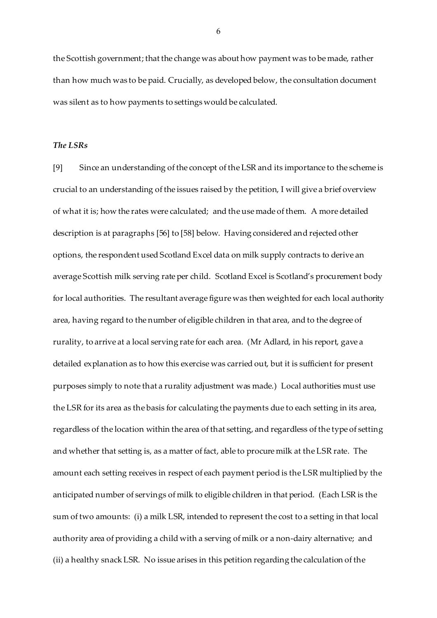the Scottish government; that the change was about how payment was to be made, rather than how much was to be paid. Crucially, as developed below, the consultation document was silent as to how payments to settings would be calculated.

### *The LSRs*

[9] Since an understanding of the concept of the LSR and its importance to the scheme is crucial to an understanding of the issues raised by the petition, I will give a brief overview of what it is; how the rates were calculated; and the use made of them. A more detailed description is at paragraphs [56] to [58] below. Having considered and rejected other options, the respondent used Scotland Excel data on milk supply contracts to derive an average Scottish milk serving rate per child. Scotland Excel is Scotland's procurement body for local authorities. The resultant average figure was then weighted for each local authority area, having regard to the number of eligible children in that area, and to the degree of rurality, to arrive at a local serving rate for each area. (Mr Adlard, in his report, gave a detailed explanation as to how this exercise was carried out, but it is sufficient for present purposes simply to note that a rurality adjustment was made.) Local authorities must use the LSR for its area as the basis for calculating the payments due to each setting in its area, regardless of the location within the area of that setting, and regardless of the type of setting and whether that setting is, as a matter of fact, able to procure milk at the LSR rate. The amount each setting receives in respect of each payment period is the LSR multiplied by the anticipated number of servings of milk to eligible children in that period. (Each LSR is the sum of two amounts: (i) a milk LSR, intended to represent the cost to a setting in that local authority area of providing a child with a serving of milk or a non-dairy alternative; and (ii) a healthy snack LSR. No issue arises in this petition regarding the calculation of the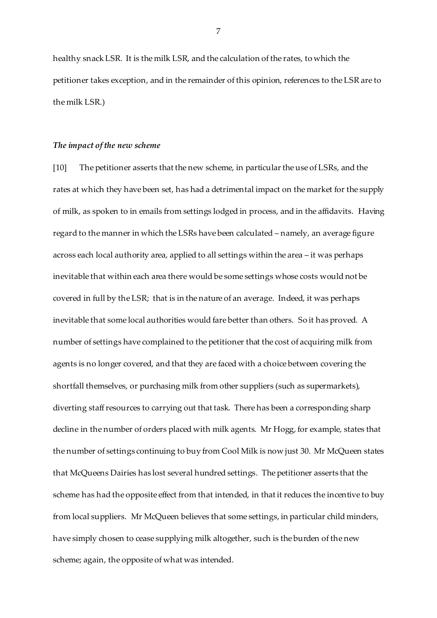healthy snack LSR. It is the milk LSR, and the calculation of the rates, to which the petitioner takes exception, and in the remainder of this opinion, references to the LSR are to the milk LSR.)

#### *The impact of the new scheme*

[10] The petitioner asserts that the new scheme, in particular the use of LSRs, and the rates at which they have been set, has had a detrimental impact on the market for the supply of milk, as spoken to in emails from settings lodged in process, and in the affidavits. Having regard to the manner in which the LSRs have been calculated – namely, an average figure across each local authority area, applied to all settings within the area – it was perhaps inevitable that within each area there would be some settings whose costs would not be covered in full by the LSR; that is in the nature of an average. Indeed, it was perhaps inevitable that some local authorities would fare better than others. So it has proved. A number of settings have complained to the petitioner that the cost of acquiring milk from agents is no longer covered, and that they are faced with a choice between covering the shortfall themselves, or purchasing milk from other suppliers (such as supermarkets), diverting staff resources to carrying out that task. There has been a corresponding sharp decline in the number of orders placed with milk agents. Mr Hogg, for example, states that the number of settings continuing to buy from Cool Milk is now just 30. Mr McQueen states that McQueens Dairies has lost several hundred settings. The petitioner asserts that the scheme has had the opposite effect from that intended, in that it reduces the incentive to buy from local suppliers. Mr McQueen believes that some settings, in particular child minders, have simply chosen to cease supplying milk altogether, such is the burden of the new scheme; again, the opposite of what was intended.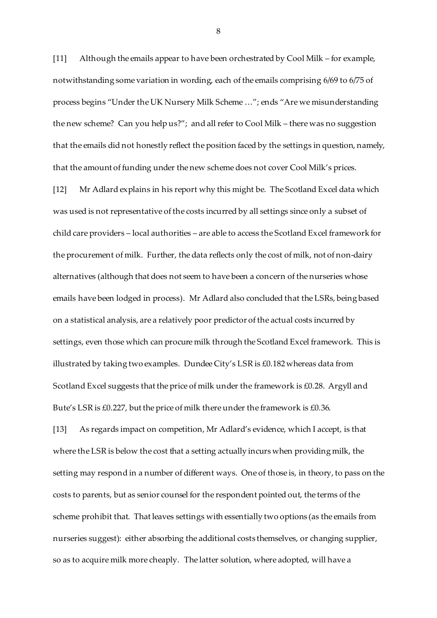[11] Although the emails appear to have been orchestrated by Cool Milk – for example, notwithstanding some variation in wording, each of the emails comprising 6/69 to 6/75 of process begins "Under the UK Nursery Milk Scheme …"; ends "Are we misunderstanding the new scheme? Can you help us?"; and all refer to Cool Milk – there was no suggestion that the emails did not honestly reflect the position faced by the settings in question, namely, that the amount of funding under the new scheme does not cover Cool Milk's prices.

[12] Mr Adlard explains in his report why this might be. The Scotland Excel data which was used is not representative of the costs incurred by all settings since only a subset of child care providers – local authorities – are able to access the Scotland Excel framework for the procurement of milk. Further, the data reflects only the cost of milk, not of non-dairy alternatives (although that does not seem to have been a concern of the nurseries whose emails have been lodged in process). Mr Adlard also concluded that the LSRs, being based on a statistical analysis, are a relatively poor predictor of the actual costs incurred by settings, even those which can procure milk through the Scotland Excel framework. This is illustrated by taking two examples. Dundee City's LSR is £0.182 whereas data from Scotland Excel suggests that the price of milk under the framework is £0.28. Argyll and Bute's LSR is £0.227, but the price of milk there under the framework is £0.36.

[13] As regards impact on competition, Mr Adlard's evidence, which I accept, is that where the LSR is below the cost that a setting actually incurs when providing milk, the setting may respond in a number of different ways. One of those is, in theory, to pass on the costs to parents, but as senior counsel for the respondent pointed out, the terms of the scheme prohibit that. That leaves settings with essentially two options (as the emails from nurseries suggest): either absorbing the additional costs themselves, or changing supplier, so as to acquire milk more cheaply. The latter solution, where adopted, will have a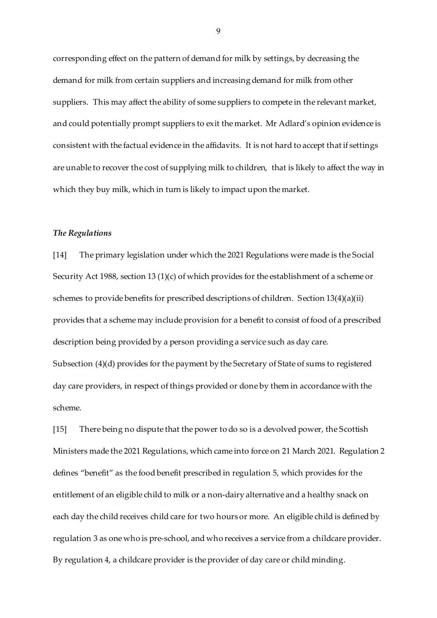corresponding effect on the pattern of demand for milk by settings, by decreasing the demand for milk from certain suppliers and increasing demand for milk from other suppliers. This may affect the ability of some suppliers to compete in the relevant market, and could potentially prompt suppliers to exit the market.Mr Adlard's opinion evidence is consistent with the factual evidence in the affidavits. It is not hard to accept that if settings are unable to recover the cost of supplying milk to children, that is likely to affect the way in which they buy milk, which in turn is likely to impact upon the market.

### *The Regulations*

[14] The primary legislation under which the 2021 Regulations were made is the Social Security Act 1988, section 13 (1)(c) of which provides for the establishment of a scheme or schemes to provide benefits for prescribed descriptions of children. Section 13(4)(a)(ii) provides that a scheme may include provision for a benefit to consist of food of a prescribed description being provided by a person providing a service such as day care. Subsection (4)(d) provides for the payment by the Secretary of State of sums to registered day care providers, in respect of things provided or done by them in accordance with the scheme.

[15] There being no dispute that the power to do so is a devolved power, the Scottish Ministers made the 2021 Regulations, which came into force on 21 March 2021. Regulation 2 defines "benefit" as the food benefit prescribed in regulation 5, which provides for the entitlement of an eligible child to milk or a non-dairy alternative and a healthy snack on each day the child receives child care for two hours or more. An eligible child is defined by regulation 3 as one who is pre-school, and who receives a service from a childcare provider. By regulation 4, a childcare provider is the provider of day care or child minding.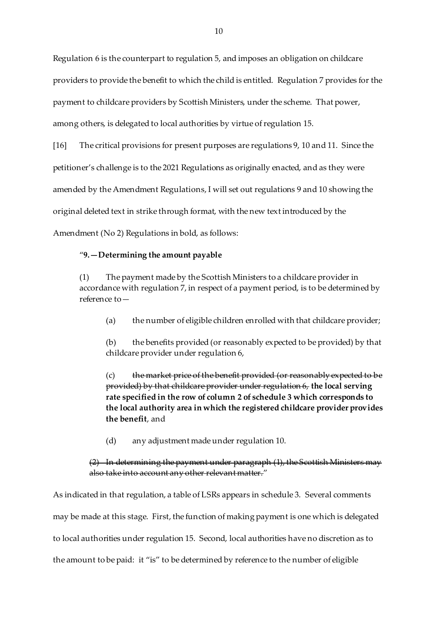Regulation 6 is the counterpart to regulation 5, and imposes an obligation on childcare providers to provide the benefit to which the child is entitled. Regulation 7 provides for the payment to childcare providers by Scottish Ministers, under the scheme. That power, among others, is delegated to local authorities by virtue of regulation 15.

[16] The critical provisions for present purposes are regulations 9, 10 and 11. Since the petitioner's challenge is to the 2021 Regulations as originally enacted, and as they were amended by the Amendment Regulations, I will set out regulations 9 and 10 showing the original deleted text in strike through format, with the new text introduced by the Amendment (No 2) Regulations in bold, as follows:

## "**9.—Determining the amount payable**

The payment made by the Scottish Ministers to a childcare provider in accordance with regulation 7, in respect of a payment period, is to be determined by reference to—

(a) the number of eligible children enrolled with that childcare provider;

(b) the benefits provided (or reasonably expected to be provided) by that childcare provider under regulation 6,

(c) the market price of the benefit provided (or reasonably expected to be provided) by that childcare provider under regulation 6, **the local serving rate specified in the row of column 2 of schedule 3 which corresponds to the local authority area in which the registered childcare provider provides the benefit**, and

(d) any adjustment made under regulation 10.

## (2) In determining the payment under paragraph (1), the Scottish Ministers may also take into account any other relevant matter."

As indicated in that regulation, a table of LSRs appears in schedule 3. Several comments may be made at this stage. First, the function of making payment is one which is delegated to local authorities under regulation 15. Second, local authorities have no discretion as to the amount to be paid: it "is" to be determined by reference to the number of eligible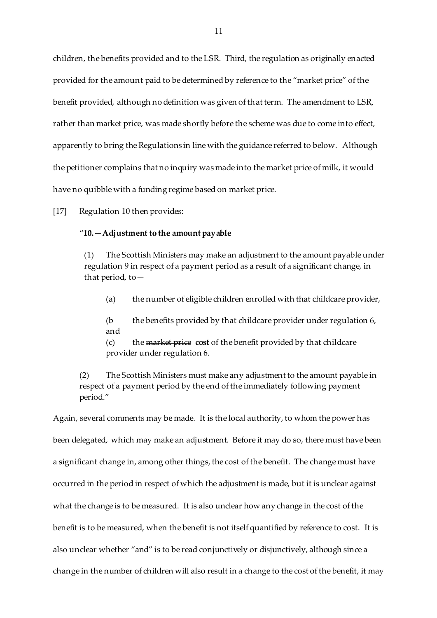children, the benefits provided and to the LSR. Third, the regulation as originally enacted provided for the amount paid to be determined by reference to the "market price" of the benefit provided, although no definition was given of that term. The amendment to LSR, rather than market price, was made shortly before the scheme was due to come into effect, apparently to bring the Regulations in line with the guidance referred to below. Although the petitioner complains that no inquiry was made into the market price of milk, it would have no quibble with a funding regime based on market price.

[17] Regulation 10 then provides:

## "**10.—Adjustment to the amount payable**

(1) The Scottish Ministers may make an adjustment to the amount payable under regulation 9 in respect of a payment period as a result of a significant change, in that period, to  $-$ 

(a) the number of eligible children enrolled with that childcare provider,

(b the benefits provided by that childcare provider under regulation 6, and

(c) the market price **cost** of the benefit provided by that childcare provider under regulation 6.

(2) The Scottish Ministers must make any adjustment to the amount payable in respect of a payment period by the end of the immediately following payment period."

Again, several comments may be made. It is the local authority, to whom the power has been delegated, which may make an adjustment. Before it may do so, there must have been a significant change in, among other things, the cost of the benefit. The change must have occurred in the period in respect of which the adjustment is made, but it is unclear against what the change is to be measured. It is also unclear how any change in the cost of the benefit is to be measured, when the benefit is not itself quantified by reference to cost. It is also unclear whether "and" is to be read conjunctively or disjunctively, although since a change in the number of children will also result in a change to the cost of the benefit, it may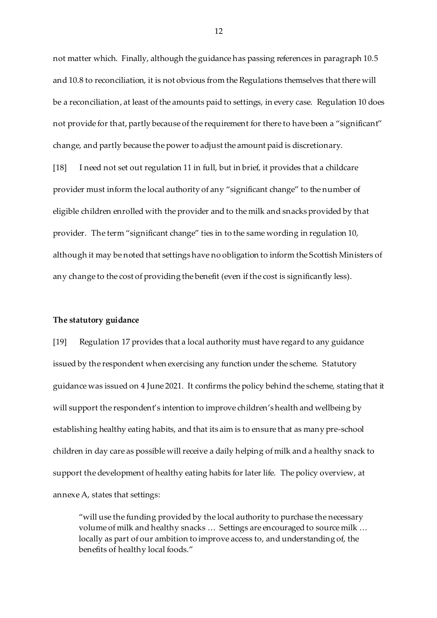not matter which. Finally, although the guidance has passing references in paragraph 10.5 and 10.8 to reconciliation, it is not obvious from the Regulations themselves that there will be a reconciliation, at least of the amounts paid to settings, in every case. Regulation 10 does not provide for that, partly because of the requirement for there to have been a "significant" change, and partly because the power to adjust the amount paid is discretionary.

[18] I need not set out regulation 11 in full, but in brief, it provides that a childcare provider must inform the local authority of any "significant change" to the number of eligible children enrolled with the provider and to the milk and snacks provided by that provider. The term "significant change" ties in to the same wording in regulation 10, although it may be noted that settings have no obligation to inform the Scottish Ministers of any change to the cost of providing the benefit (even if the cost is significantly less).

## **The statutory guidance**

[19] Regulation 17 provides that a local authority must have regard to any guidance issued by the respondent when exercising any function under the scheme. Statutory guidance was issued on 4 June 2021. It confirms the policy behind the scheme, stating that it will support the respondent's intention to improve children's health and wellbeing by establishing healthy eating habits, and that its aim is to ensure that as many pre-school children in day care as possible will receive a daily helping of milk and a healthy snack to support the development of healthy eating habits for later life. The policy overview, at annexe A, states that settings:

"will use the funding provided by the local authority to purchase the necessary volume of milk and healthy snacks … Settings are encouraged to source milk … locally as part of our ambition to improve access to, and understanding of, the benefits of healthy local foods."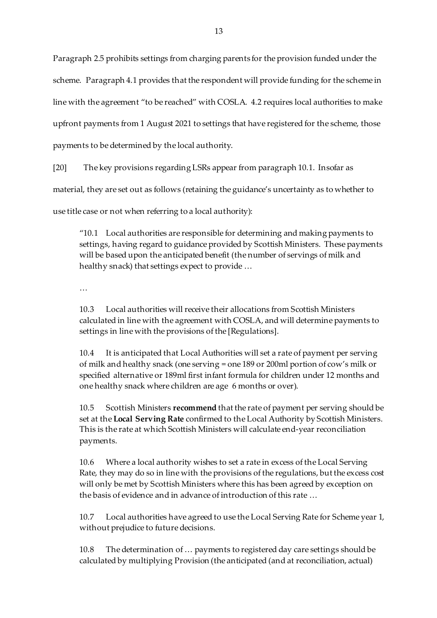Paragraph 2.5 prohibits settings from charging parents for the provision funded under the scheme. Paragraph 4.1 provides that the respondent will provide funding for the scheme in line with the agreement "to be reached" with COSLA. 4.2 requires local authorities to make upfront payments from 1 August 2021 to settings that have registered for the scheme, those payments to be determined by the local authority.

[20] The key provisions regarding LSRs appear from paragraph 10.1. Insofar as

material, they are set out as follows (retaining the guidance's uncertainty as to whether to

use title case or not when referring to a local authority):

"10.1 Local authorities are responsible for determining and making payments to settings, having regard to guidance provided by Scottish Ministers. These payments will be based upon the anticipated benefit (the number of servings of milk and healthy snack) that settings expect to provide …

…

10.3 Local authorities will receive their allocations from Scottish Ministers calculated in line with the agreement with COSLA, and will determine payments to settings in line with the provisions of the [Regulations].

10.4 It is anticipated that Local Authorities will set a rate of payment per serving of milk and healthy snack (one serving = one 189 or 200ml portion of cow's milk or specified alternative or 189ml first infant formula for children under 12 months and one healthy snack where children are age 6 months or over).

10.5 Scottish Ministers **recommend** that the rate of payment per serving should be set at the **Local Serving Rate** confirmed to the Local Authority by Scottish Ministers. This is the rate at which Scottish Ministers will calculate end-year reconciliation payments.

10.6 Where a local authority wishes to set a rate in excess of the Local Serving Rate, they may do so in line with the provisions of the regulations, but the excess cost will only be met by Scottish Ministers where this has been agreed by exception on the basis of evidence and in advance of introduction of this rate …

10.7 Local authorities have agreed to use the Local Serving Rate for Scheme year 1, without prejudice to future decisions.

10.8 The determination of … payments to registered day care settings should be calculated by multiplying Provision (the anticipated (and at reconciliation, actual)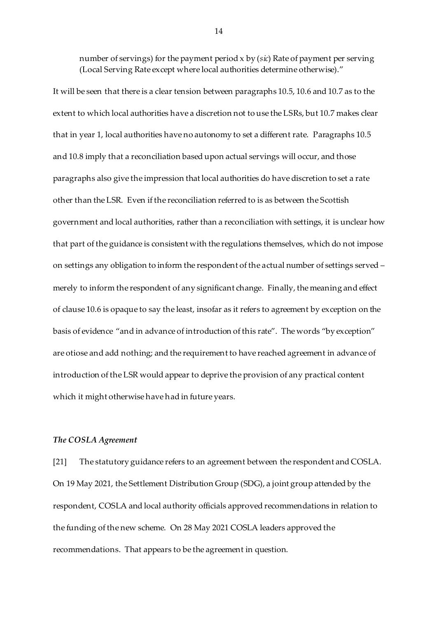number of servings) for the payment period x by (*sic*) Rate of payment per serving (Local Serving Rate except where local authorities determine otherwise)."

It will be seen that there is a clear tension between paragraphs 10.5, 10.6 and 10.7 as to the extent to which local authorities have a discretion not to use the LSRs, but 10.7 makes clear that in year 1, local authorities have no autonomy to set a different rate. Paragraphs 10.5 and 10.8 imply that a reconciliation based upon actual servings will occur, and those paragraphs also give the impression that local authorities do have discretion to set a rate other than the LSR. Even if the reconciliation referred to is as between the Scottish government and local authorities, rather than a reconciliation with settings, it is unclear how that part of the guidance is consistent with the regulations themselves, which do not impose on settings any obligation to inform the respondent of the actual number of settings served – merely to inform the respondent of any significant change. Finally, the meaning and effect of clause 10.6 is opaque to say the least, insofar as it refers to agreement by exception on the basis of evidence "and in advance of introduction of this rate". The words "by exception" are otiose and add nothing; and the requirement to have reached agreement in advance of introduction of the LSR would appear to deprive the provision of any practical content which it might otherwise have had in future years.

#### *The COSLA Agreement*

[21] The statutory guidance refers to an agreement between the respondent and COSLA. On 19 May 2021, the Settlement Distribution Group (SDG), a joint group attended by the respondent, COSLA and local authority officials approved recommendations in relation to the funding of the new scheme. On 28 May 2021 COSLA leaders approved the recommendations. That appears to be the agreement in question.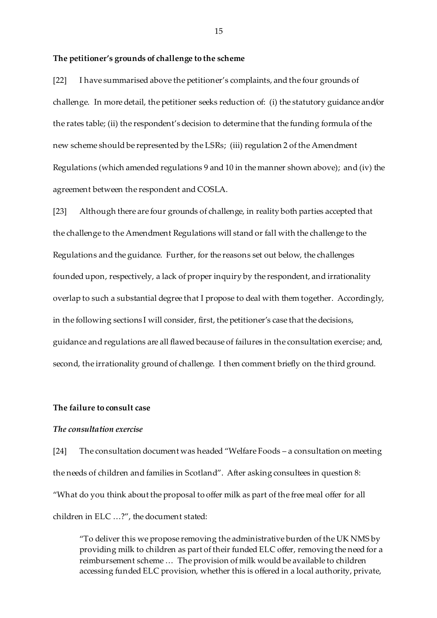#### **The petitioner's grounds of challenge to the scheme**

[22] I have summarised above the petitioner's complaints, and the four grounds of challenge. In more detail, the petitioner seeks reduction of: (i) the statutory guidance and/or the rates table; (ii) the respondent's decision to determine that the funding formula of the new scheme should be represented by the LSRs; (iii) regulation 2 of the Amendment Regulations (which amended regulations 9 and 10 in the manner shown above); and (iv) the agreement between the respondent and COSLA.

[23] Although there are four grounds of challenge, in reality both parties accepted that the challenge to the Amendment Regulations will stand or fall with the challenge to the Regulations and the guidance. Further, for the reasons set out below, the challenges founded upon, respectively, a lack of proper inquiry by the respondent, and irrationality overlap to such a substantial degree that I propose to deal with them together. Accordingly, in the following sections I will consider, first, the petitioner's case that the decisions, guidance and regulations are all flawed because of failures in the consultation exercise; and, second, the irrationality ground of challenge. I then comment briefly on the third ground.

### **The failure to consult case**

# *The consultation exercise*

[24] The consultation document was headed "Welfare Foods – a consultation on meeting the needs of children and families in Scotland". After asking consultees in question 8: "What do you think about the proposal to offer milk as part of the free meal offer for all children in ELC …?", the document stated:

"To deliver this we propose removing the administrative burden of the UK NMS by providing milk to children as part of their funded ELC offer, removing the need for a reimbursement scheme … The provision of milk would be available to children accessing funded ELC provision, whether this is offered in a local authority, private,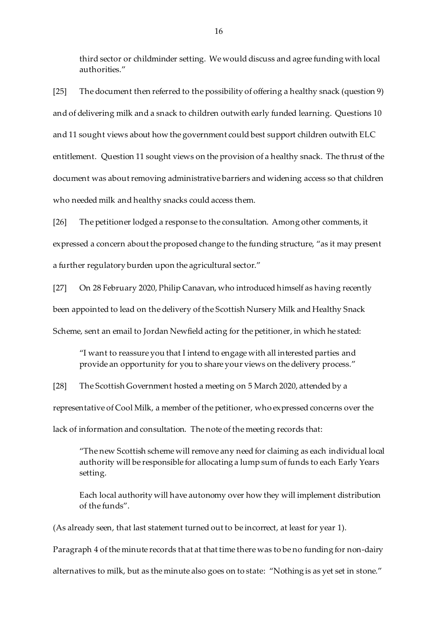third sector or childminder setting. We would discuss and agree funding with local authorities."

[25] The document then referred to the possibility of offering a healthy snack (question 9) and of delivering milk and a snack to children outwith early funded learning. Questions 10 and 11 sought views about how the government could best support children outwith ELC entitlement. Question 11 sought views on the provision of a healthy snack. The thrust of the document was about removing administrative barriers and widening access so that children who needed milk and healthy snacks could access them.

[26] The petitioner lodged a response to the consultation. Among other comments, it expressed a concern about the proposed change to the funding structure, "as it may present a further regulatory burden upon the agricultural sector."

[27] On 28 February 2020, Philip Canavan, who introduced himself as having recently been appointed to lead on the delivery of the Scottish Nursery Milk and Healthy Snack Scheme, sent an email to Jordan Newfield acting for the petitioner, in which he stated:

"I want to reassure you that I intend to engage with all interested parties and provide an opportunity for you to share your views on the delivery process."

[28] The Scottish Government hosted a meeting on 5 March 2020, attended by a representative of Cool Milk, a member of the petitioner, who expressed concerns over the lack of information and consultation. The note of the meeting records that:

"The new Scottish scheme will remove any need for claiming as each individual local authority will be responsible for allocating a lump sum of funds to each Early Years setting.

Each local authority will have autonomy over how they will implement distribution of the funds".

(As already seen, that last statement turned out to be incorrect, at least for year 1). Paragraph 4 of the minute records that at that time there was to be no funding for non-dairy alternatives to milk, but as the minute also goes on to state: "Nothing is as yet set in stone."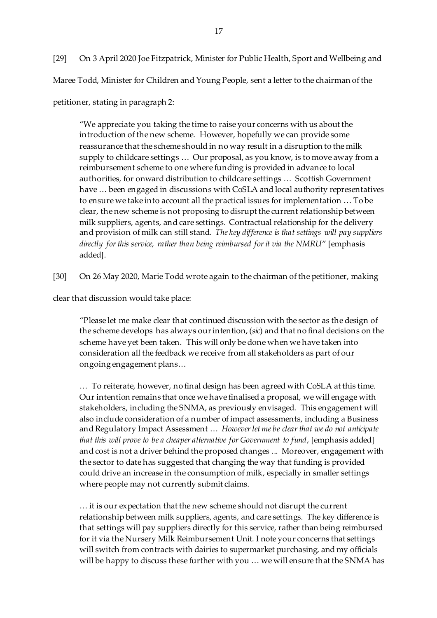[29] On 3 April 2020 Joe Fitzpatrick, Minister for Public Health, Sport and Wellbeing and Maree Todd, Minister for Children and Young People, sent a letter to the chairman of the petitioner, stating in paragraph 2:

"We appreciate you taking the time to raise your concerns with us about the introduction of the new scheme. However, hopefully we can provide some reassurance that the scheme should in no way result in a disruption to the milk supply to childcare settings … Our proposal, as you know, is to move away from a reimbursement scheme to one where funding is provided in advance to local authorities, for onward distribution to childcare settings … Scottish Government have … been engaged in discussions with CoSLA and local authority representatives to ensure we take into account all the practical issues for implementation … To be clear, the new scheme is not proposing to disrupt the current relationship between milk suppliers, agents, and care settings. Contractual relationship for the delivery and provision of milk can still stand*. The key difference is that settings will pay suppliers directly for this service, rather than being reimbursed for it via the NMRU*" [emphasis added].

[30] On 26 May 2020, Marie Todd wrote again to the chairman of the petitioner, making

clear that discussion would take place:

"Please let me make clear that continued discussion with the sector as the design of the scheme develops has always our intention, (*sic*) and that no final decisions on the scheme have yet been taken. This will only be done when we have taken into consideration all the feedback we receive from all stakeholders as part of our ongoing engagement plans…

… To reiterate, however, no final design has been agreed with CoSLA at this time. Our intention remains that once we have finalised a proposal, we will engage with stakeholders, including the SNMA, as previously envisaged. This engagement will also include consideration of a number of impact assessments, including a Business and Regulatory Impact Assessment … *However let me be clear that we do not anticipate that this will prove to be a cheaper alternative for Government to fund*, [emphasis added] and cost is not a driver behind the proposed changes ... Moreover, engagement with the sector to date has suggested that changing the way that funding is provided could drive an increase in the consumption of milk, especially in smaller settings where people may not currently submit claims.

… it is our expectation that the new scheme should not disrupt the current relationship between milk suppliers, agents, and care settings. The key difference is that settings will pay suppliers directly for this service, rather than being reimbursed for it via the Nursery Milk Reimbursement Unit. I note your concerns that settings will switch from contracts with dairies to supermarket purchasing, and my officials will be happy to discuss these further with you … we will ensure that the SNMA has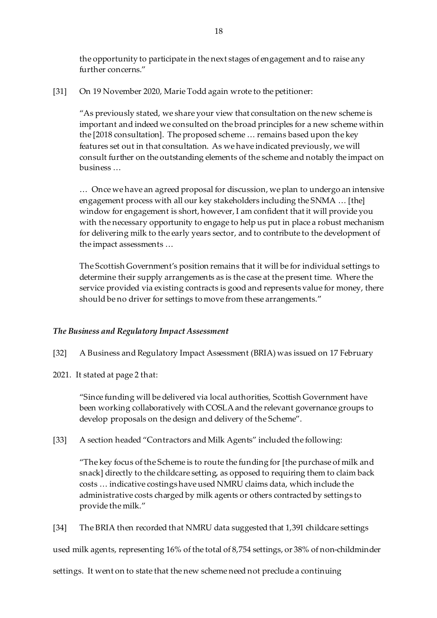the opportunity to participate in the next stages of engagement and to raise any further concerns."

[31] On 19 November 2020, Marie Todd again wrote to the petitioner:

"As previously stated, we share your view that consultation on the new scheme is important and indeed we consulted on the broad principles for a new scheme within the [2018 consultation]. The proposed scheme … remains based upon the key features set out in that consultation. As we have indicated previously, we will consult further on the outstanding elements of the scheme and notably the impact on business …

… Once we have an agreed proposal for discussion, we plan to undergo an intensive engagement process with all our key stakeholders including the SNMA … [the] window for engagement is short, however, I am confident that it will provide you with the necessary opportunity to engage to help us put in place a robust mechanism for delivering milk to the early years sector, and to contribute to the development of the impact assessments …

The Scottish Government's position remains that it will be for individual settings to determine their supply arrangements as is the case at the present time. Where the service provided via existing contracts is good and represents value for money, there should be no driver for settings to move from these arrangements."

## *The Business and Regulatory Impact Assessment*

- [32] A Business and Regulatory Impact Assessment (BRIA) was issued on 17 February
- 2021. It stated at page 2 that:

"Since funding will be delivered via local authorities, Scottish Government have been working collaboratively with COSLA and the relevant governance groups to develop proposals on the design and delivery of the Scheme".

[33] A section headed "Contractors and Milk Agents" included the following:

"The key focus of the Scheme is to route the funding for [the purchase of milk and snack] directly to the childcare setting, as opposed to requiring them to claim back costs … indicative costings have used NMRU claims data, which include the administrative costs charged by milk agents or others contracted by settings to provide the milk."

[34] The BRIA then recorded that NMRU data suggested that 1,391 childcare settings

used milk agents, representing 16% of the total of 8,754 settings, or 38% of non-childminder

settings. It went on to state that the new scheme need not preclude a continuing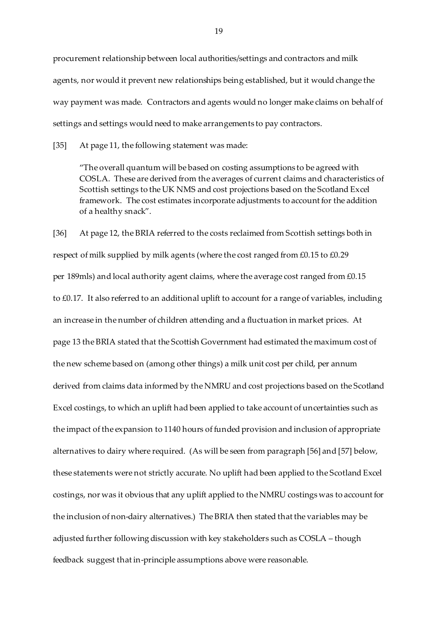procurement relationship between local authorities/settings and contractors and milk agents, nor would it prevent new relationships being established, but it would change the way payment was made. Contractors and agents would no longer make claims on behalf of settings and settings would need to make arrangements to pay contractors.

[35] At page 11, the following statement was made:

"The overall quantum will be based on costing assumptions to be agreed with COSLA. These are derived from the averages of current claims and characteristics of Scottish settings to the UK NMS and cost projections based on the Scotland Excel framework. The cost estimates incorporate adjustments to account for the addition of a healthy snack".

[36] At page 12, the BRIA referred to the costs reclaimed from Scottish settings both in respect of milk supplied by milk agents (where the cost ranged from £0.15 to £0.29 per 189mls) and local authority agent claims, where the average cost ranged from £0.15 to £0.17. It also referred to an additional uplift to account for a range of variables, including an increase in the number of children attending and a fluctuation in market prices. At page 13 the BRIA stated that the Scottish Government had estimated the maximum cost of the new scheme based on (among other things) a milk unit cost per child, per annum derived from claims data informed by the NMRU and cost projections based on the Scotland Excel costings, to which an uplift had been applied to take account of uncertainties such as the impact of the expansion to 1140 hours of funded provision and inclusion of appropriate alternatives to dairy where required. (As will be seen from paragraph [56] and [57] below, these statements were not strictly accurate. No uplift had been applied to the Scotland Excel costings, nor was it obvious that any uplift applied to the NMRU costings was to account for the inclusion of non-dairy alternatives.) The BRIA then stated that the variables may be adjusted further following discussion with key stakeholders such as COSLA – though feedback suggest that in-principle assumptions above were reasonable.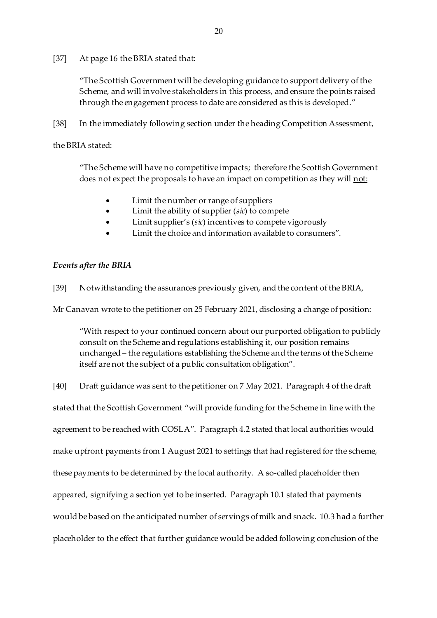## [37] At page 16 the BRIA stated that:

"The Scottish Government will be developing guidance to support delivery of the Scheme, and will involve stakeholders in this process, and ensure the points raised through the engagement process to date are considered as this is developed."

[38] In the immediately following section under the heading Competition Assessment,

## the BRIA stated:

"The Scheme will have no competitive impacts; therefore the Scottish Government does not expect the proposals to have an impact on competition as they will not:

- Limit the number or range of suppliers
- Limit the ability of supplier (*sic*) to compete
- Limit supplier's (*sic*) incentives to compete vigorously
- Limit the choice and information available to consumers".

# *Events after the BRIA*

[39] Notwithstanding the assurances previously given, and the content of the BRIA,

Mr Canavan wrote to the petitioner on 25 February 2021, disclosing a change of position:

"With respect to your continued concern about our purported obligation to publicly consult on the Scheme and regulations establishing it, our position remains unchanged – the regulations establishing the Scheme and the terms of the Scheme itself are not the subject of a public consultation obligation".

[40] Draft guidance was sent to the petitioner on 7 May 2021. Paragraph 4 of the draft stated that the Scottish Government "will provide funding for the Scheme in line with the agreement to be reached with COSLA". Paragraph 4.2 stated that local authorities would make upfront payments from 1 August 2021 to settings that had registered for the scheme, these payments to be determined by the local authority. A so-called placeholder then appeared, signifying a section yet to be inserted. Paragraph 10.1 stated that payments would be based on the anticipated number of servings of milk and snack. 10.3 had a further placeholder to the effect that further guidance would be added following conclusion of the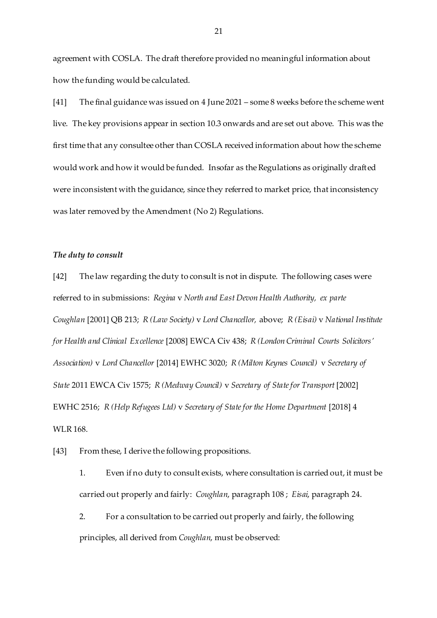agreement with COSLA. The draft therefore provided no meaningful information about how the funding would be calculated.

[41] The final guidance was issued on 4 June 2021 – some 8 weeks before the scheme went live. The key provisions appear in section 10.3 onwards and are set out above. This was the first time that any consultee other than COSLA received information about how the scheme would work and how it would be funded. Insofar as the Regulations as originally drafted were inconsistent with the guidance, since they referred to market price, that inconsistency was later removed by the Amendment (No 2) Regulations.

## *The duty to consult*

[42] The law regarding the duty to consult is not in dispute. The following cases were referred to in submissions: *Regina* v *North and East Devon Health Authority, ex parte Coughlan* [2001] QB 213; *R (Law Society)* v *Lord Chancellor,* above; *R (Eisai)* v *National Institute for Health and Clinical Excellence* [2008] EWCA Civ 438; *R (London Criminal Courts Solicitors' Association)* v *Lord Chancellor* [2014] EWHC 3020; *R (Milton Keynes Council)* v *Secretary of State* 2011 EWCA Civ 1575; *R (Medway Council)* v *Secretary of State for Transport* [2002] EWHC 2516; *R (Help Refugees Ltd)* v *Secretary of State for the Home Department* [2018] 4 WLR 168.

[43] From these, I derive the following propositions.

1. Even if no duty to consult exists, where consultation is carried out, it must be carried out properly and fairly: *Coughlan*, paragraph 108 ; *Eisai*, paragraph 24.

2. For a consultation to be carried out properly and fairly, the following principles, all derived from *Coughlan*, must be observed: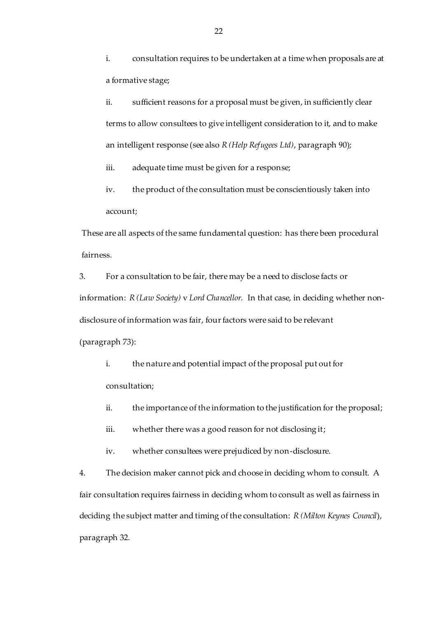i. consultation requires to be undertaken at a time when proposals are at a formative stage;

ii. sufficient reasons for a proposal must be given, in sufficiently clear terms to allow consultees to give intelligent consideration to it, and to make an intelligent response (see also *R (Help Refugees Ltd)*, paragraph 90);

iii. adequate time must be given for a response;

iv. the product of the consultation must be conscientiously taken into account;

These are all aspects of the same fundamental question: has there been procedural fairness.

3. For a consultation to be fair, there may be a need to disclose facts or information: *R (Law Society)* v *Lord Chancellor.* In that case, in deciding whether nondisclosure of information was fair, four factors were said to be relevant (paragraph 73):

i. the nature and potential impact of the proposal put out for consultation;

ii. the importance of the information to the justification for the proposal;

iii. whether there was a good reason for not disclosing it;

iv. whether consultees were prejudiced by non-disclosure.

4. The decision maker cannot pick and choose in deciding whom to consult. A fair consultation requires fairness in deciding whom to consult as well as fairness in deciding the subject matter and timing of the consultation: *R (Milton Keynes Council*), paragraph 32*.*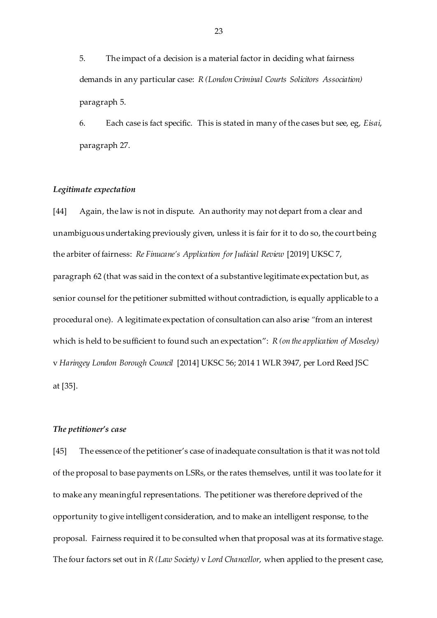5. The impact of a decision is a material factor in deciding what fairness demands in any particular case: *R (London Criminal Courts Solicitors Association)*  paragraph 5.

6. Each case is fact specific. This is stated in many of the cases but see, eg, *Eisai*, paragraph 27.

## *Legitimate expectation*

[44] Again, the law is not in dispute. An authority may not depart from a clear and unambiguous undertaking previously given, unless it is fair for it to do so, the court being the arbiter of fairness: *Re Finucane's Application for Judicial Review* [2019] UKSC 7, paragraph 62 (that was said in the context of a substantive legitimate expectation but, as senior counsel for the petitioner submitted without contradiction, is equally applicable to a procedural one). A legitimate expectation of consultation can also arise *"*from an interest which is held to be sufficient to found such an expectation": *R (on the application of Moseley)*  v *Haringey London Borough Council* [2014] UKSC 56; 2014 1 WLR 3947, per Lord Reed JSC at [35].

## *The petitioner's case*

[45] The essence of the petitioner's case of inadequate consultation is that it was not told of the proposal to base payments on LSRs, or the rates themselves, until it was too late for it to make any meaningful representations. The petitioner was therefore deprived of the opportunity to give intelligent consideration, and to make an intelligent response, to the proposal. Fairness required it to be consulted when that proposal was at its formative stage. The four factors set out in *R (Law Society)* v *Lord Chancellor*, when applied to the present case,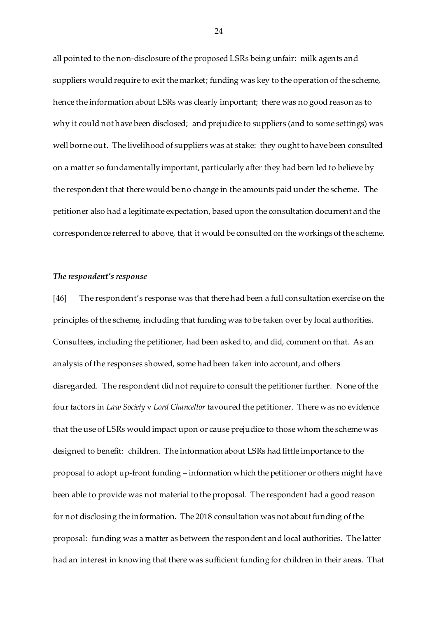all pointed to the non-disclosure of the proposed LSRs being unfair: milk agents and suppliers would require to exit the market; funding was key to the operation of the scheme, hence the information about LSRs was clearly important; there was no good reason as to why it could not have been disclosed; and prejudice to suppliers (and to some settings) was well borne out. The livelihood of suppliers was at stake: they ought to have been consulted on a matter so fundamentally important, particularly after they had been led to believe by the respondent that there would be no change in the amounts paid under the scheme. The petitioner also had a legitimate expectation, based upon the consultation document and the correspondence referred to above, that it would be consulted on the workings of the scheme.

### *The respondent's response*

[46] The respondent's response was that there had been a full consultation exercise on the principles of the scheme, including that funding was to be taken over by local authorities. Consultees, including the petitioner, had been asked to, and did, comment on that. As an analysis of the responses showed, some had been taken into account, and others disregarded. The respondent did not require to consult the petitioner further. None of the four factors in *Law Society* v *Lord Chancellor* favoured the petitioner. There was no evidence that the use of LSRs would impact upon or cause prejudice to those whom the scheme was designed to benefit: children. The information about LSRs had little importance to the proposal to adopt up-front funding – information which the petitioner or others might have been able to provide was not material to the proposal. The respondent had a good reason for not disclosing the information. The 2018 consultation was not about funding of the proposal: funding was a matter as between the respondent and local authorities. The latter had an interest in knowing that there was sufficient funding for children in their areas. That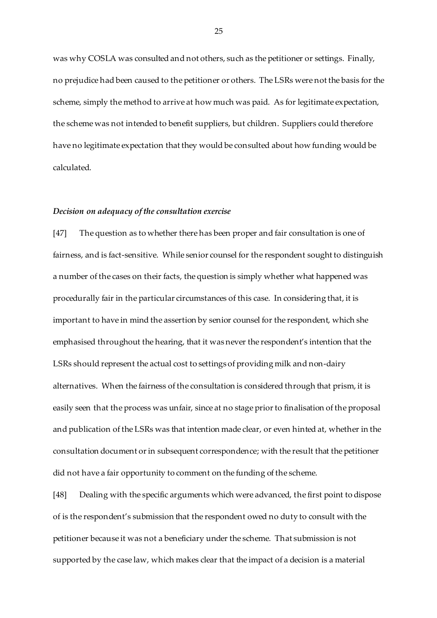was why COSLA was consulted and not others, such as the petitioner or settings. Finally, no prejudice had been caused to the petitioner or others. The LSRs were not the basis for the scheme, simply the method to arrive at how much was paid. As for legitimate expectation, the scheme was not intended to benefit suppliers, but children. Suppliers could therefore have no legitimate expectation that they would be consulted about how funding would be calculated.

#### *Decision on adequacy of the consultation exercise*

[47] The question as to whether there has been proper and fair consultation is one of fairness, and is fact-sensitive. While senior counsel for the respondent sought to distinguish a number of the cases on their facts, the question is simply whether what happened was procedurally fair in the particular circumstances of this case. In considering that, it is important to have in mind the assertion by senior counsel for the respondent, which she emphasised throughout the hearing, that it was never the respondent's intention that the LSRs should represent the actual cost to settings of providing milk and non-dairy alternatives. When the fairness of the consultation is considered through that prism, it is easily seen that the process was unfair, since at no stage prior to finalisation of the proposal and publication of the LSRs was that intention made clear, or even hinted at, whether in the consultation document or in subsequent correspondence; with the result that the petitioner did not have a fair opportunity to comment on the funding of the scheme.

[48] Dealing with the specific arguments which were advanced, the first point to dispose of is the respondent's submission that the respondent owed no duty to consult with the petitioner because it was not a beneficiary under the scheme. That submission is not supported by the case law, which makes clear that the impact of a decision is a material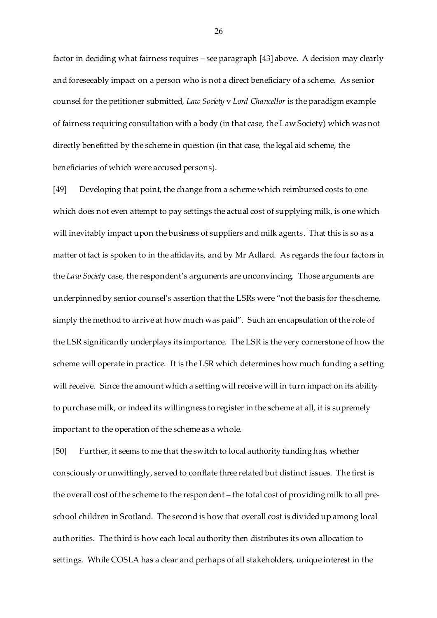factor in deciding what fairness requires – see paragraph [43] above. A decision may clearly and foreseeably impact on a person who is not a direct beneficiary of a scheme. As senior counsel for the petitioner submitted, *Law Society* v *Lord Chancellor* is the paradigm example of fairness requiring consultation with a body (in that case, the Law Society) which was not directly benefitted by the scheme in question (in that case, the legal aid scheme, the beneficiaries of which were accused persons).

[49] Developing that point, the change from a scheme which reimbursed costs to one which does not even attempt to pay settings the actual cost of supplying milk, is one which will inevitably impact upon the business of suppliers and milk agents. That this is so as a matter of fact is spoken to in the affidavits, and by Mr Adlard. As regards the four factors in the *Law Society* case, the respondent's arguments are unconvincing. Those arguments are underpinned by senior counsel's assertion that the LSRs were "not the basis for the scheme, simply the method to arrive at how much was paid". Such an encapsulation of the role of the LSR significantly underplays its importance. The LSR is the very cornerstone of how the scheme will operate in practice. It is the LSR which determines how much funding a setting will receive. Since the amount which a setting will receive will in turn impact on its ability to purchase milk, or indeed its willingness to register in the scheme at all, it is supremely important to the operation of the scheme as a whole.

[50] Further, it seems to me that the switch to local authority funding has, whether consciously or unwittingly, served to conflate three related but distinct issues. The first is the overall cost of the scheme to the respondent – the total cost of providing milk to all preschool children in Scotland. The second is how that overall cost is divided up among local authorities. The third is how each local authority then distributes its own allocation to settings. While COSLA has a clear and perhaps of all stakeholders, unique interest in the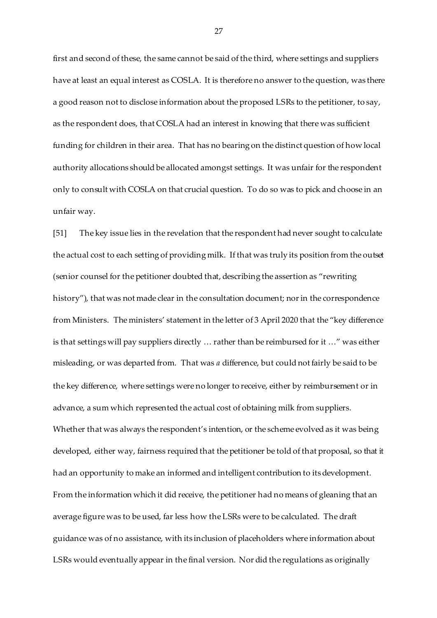first and second of these, the same cannot be said of the third, where settings and suppliers have at least an equal interest as COSLA. It is therefore no answer to the question, was there a good reason not to disclose information about the proposed LSRs to the petitioner, to say, as the respondent does, that COSLA had an interest in knowing that there was sufficient funding for children in their area. That has no bearing on the distinct question of how local authority allocations should be allocated amongst settings. It was unfair for the respondent only to consult with COSLA on that crucial question. To do so was to pick and choose in an unfair way.

[51] The key issue lies in the revelation that the respondent had never sought to calculate the actual cost to each setting of providing milk. If that was truly its position from the outset (senior counsel for the petitioner doubted that, describing the assertion as "rewriting history"), that was not made clear in the consultation document; nor in the correspondence from Ministers. The ministers' statement in the letter of 3 April 2020 that the "key difference is that settings will pay suppliers directly … rather than be reimbursed for it …" was either misleading, or was departed from. That was *a* difference, but could not fairly be said to be the key difference, where settings were no longer to receive, either by reimbursement or in advance, a sum which represented the actual cost of obtaining milk from suppliers. Whether that was always the respondent's intention, or the scheme evolved as it was being developed, either way, fairness required that the petitioner be told of that proposal, so that it had an opportunity to make an informed and intelligent contribution to its development. From the information which it did receive, the petitioner had no means of gleaning that an average figure was to be used, far less how the LSRs were to be calculated. The draft guidance was of no assistance, with its inclusion of placeholders where information about LSRs would eventually appear in the final version. Nor did the regulations as originally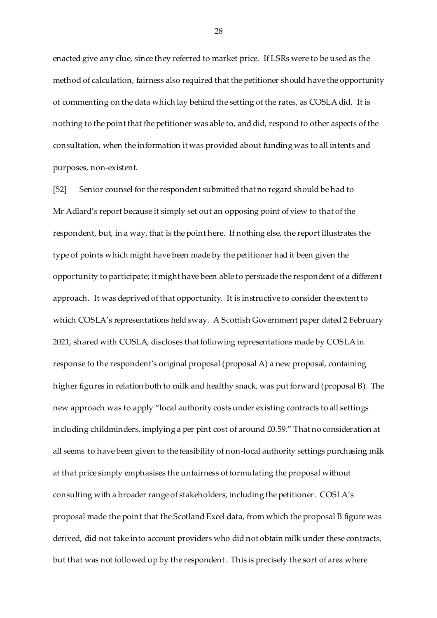enacted give any clue, since they referred to market price. If LSRs were to be used as the method of calculation, fairness also required that the petitioner should have the opportunity of commenting on the data which lay behind the setting of the rates, as COSLA did. It is nothing to the point that the petitioner was able to, and did, respond to other aspects of the consultation, when the information it was provided about funding was to all intents and purposes, non-existent.

[52] Senior counsel for the respondent submitted that no regard should be had to Mr Adlard's report because it simply set out an opposing point of view to that of the respondent, but, in a way, that is the point here. If nothing else, the report illustrates the type of points which might have been made by the petitioner had it been given the opportunity to participate; it might have been able to persuade the respondent of a different approach. It was deprived of that opportunity. It is instructive to consider the extent to which COSLA's representations held sway. A Scottish Government paper dated 2 February 2021, shared with COSLA, discloses that following representations made by COSLA in response to the respondent's original proposal (proposal A) a new proposal, containing higher figures in relation both to milk and healthy snack, was put forward (proposal B). The new approach was to apply "local authority costs under existing contracts to all settings including childminders, implying a per pint cost of around £0.59." That no consideration at all seems to have been given to the feasibility of non-local authority settings purchasing milk at that price simply emphasises the unfairness of formulating the proposal without consulting with a broader range of stakeholders, including the petitioner. COSLA's proposal made the point that the Scotland Excel data, from which the proposal B figure was derived, did not take into account providers who did not obtain milk under these contracts, but that was not followed up by the respondent. This is precisely the sort of area where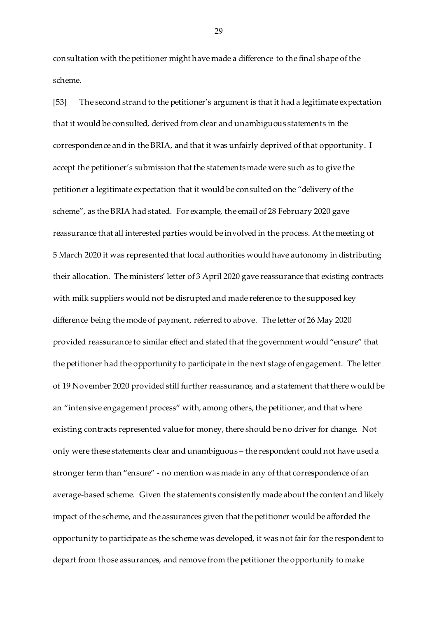consultation with the petitioner might have made a difference to the final shape of the scheme.

[53] The second strand to the petitioner's argument is that it had a legitimate expectation that it would be consulted, derived from clear and unambiguous statements in the correspondence and in the BRIA, and that it was unfairly deprived of that opportunity. I accept the petitioner's submission that the statements made were such as to give the petitioner a legitimate expectation that it would be consulted on the "delivery of the scheme", as the BRIA had stated. For example, the email of 28 February 2020 gave reassurance that all interested parties would be involved in the process. At the meeting of 5 March 2020 it was represented that local authorities would have autonomy in distributing their allocation. The ministers' letter of 3 April 2020 gave reassurance that existing contracts with milk suppliers would not be disrupted and made reference to the supposed key difference being the mode of payment, referred to above. The letter of 26 May 2020 provided reassurance to similar effect and stated that the government would "ensure" that the petitioner had the opportunity to participate in the next stage of engagement. The letter of 19 November 2020 provided still further reassurance, and a statement that there would be an "intensive engagement process" with, among others, the petitioner, and that where existing contracts represented value for money, there should be no driver for change. Not only were these statements clear and unambiguous – the respondent could not have used a stronger term than "ensure" - no mention was made in any of that correspondence of an average-based scheme. Given the statements consistently made about the content and likely impact of the scheme, and the assurances given that the petitioner would be afforded the opportunity to participate as the scheme was developed, it was not fair for the respondent to depart from those assurances, and remove from the petitioner the opportunity to make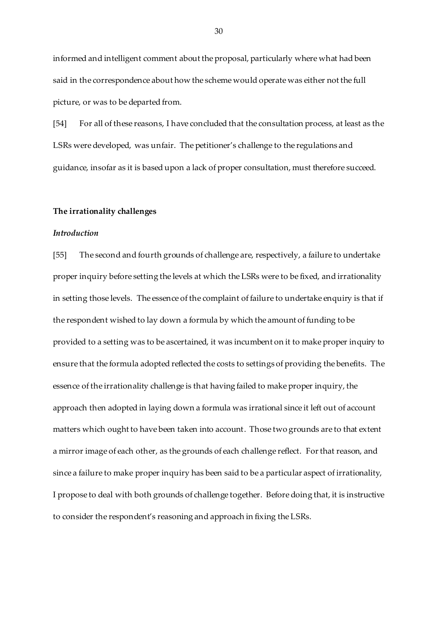informed and intelligent comment about the proposal, particularly where what had been said in the correspondence about how the scheme would operate was either not the full picture, or was to be departed from.

[54] For all of these reasons, I have concluded that the consultation process, at least as the LSRs were developed, was unfair. The petitioner's challenge to the regulations and guidance, insofar as it is based upon a lack of proper consultation, must therefore succeed.

#### **The irrationality challenges**

# *Introduction*

[55] The second and fourth grounds of challenge are, respectively, a failure to undertake proper inquiry before setting the levels at which the LSRs were to be fixed, and irrationality in setting those levels. The essence of the complaint of failure to undertake enquiry is that if the respondent wished to lay down a formula by which the amount of funding to be provided to a setting was to be ascertained, it was incumbent on it to make proper inquiry to ensure that the formula adopted reflected the costs to settings of providing the benefits. The essence of the irrationality challenge is that having failed to make proper inquiry, the approach then adopted in laying down a formula was irrational since it left out of account matters which ought to have been taken into account. Those two grounds are to that extent a mirror image of each other, as the grounds of each challenge reflect. For that reason, and since a failure to make proper inquiry has been said to be a particular aspect of irrationality, I propose to deal with both grounds of challenge together. Before doing that, it is instructive to consider the respondent's reasoning and approach in fixing the LSRs.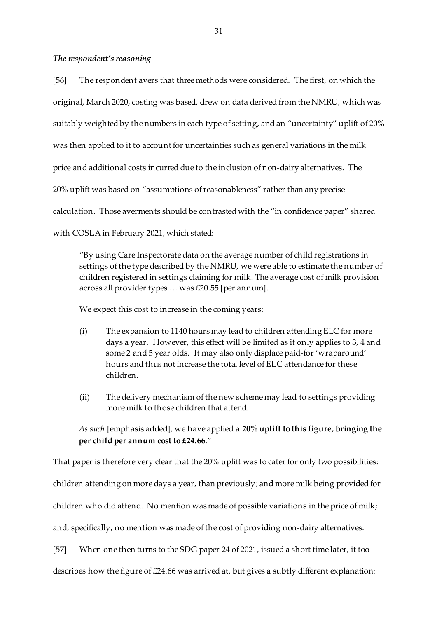## *The respondent's reasoning*

[56] The respondent avers that three methods were considered. The first, on which the original, March 2020, costing was based, drew on data derived from the NMRU, which was suitably weighted by the numbers in each type of setting, and an "uncertainty" uplift of 20% was then applied to it to account for uncertainties such as general variations in the milk price and additional costs incurred due to the inclusion of non-dairy alternatives. The 20% uplift was based on "assumptions of reasonableness" rather than any precise calculation. Those averments should be contrasted with the "in confidence paper" shared with COSLA in February 2021, which stated:

"By using Care Inspectorate data on the average number of child registrations in settings of the type described by the NMRU, we were able to estimate the number of children registered in settings claiming for milk. The average cost of milk provision across all provider types … was £20.55 [per annum].

We expect this cost to increase in the coming years:

- (i) The expansion to 1140 hours may lead to children attending ELC for more days a year. However, this effect will be limited as it only applies to 3, 4 and some 2 and 5 year olds. It may also only displace paid-for 'wraparound' hours and thus not increase the total level of ELC attendance for these children.
- (ii) The delivery mechanism of the new scheme may lead to settings providing more milk to those children that attend.

*As such* [emphasis added], we have applied a **20% uplift to this figure, bringing the per child per annum cost to £24.66**."

That paper is therefore very clear that the 20% uplift was to cater for only two possibilities:

children attending on more days a year, than previously; and more milk being provided for

children who did attend. No mention was made of possible variations in the price of milk;

and, specifically, no mention was made of the cost of providing non-dairy alternatives.

[57] When one then turns to the SDG paper 24 of 2021, issued a short time later, it too

describes how the figure of £24.66 was arrived at, but gives a subtly different explanation: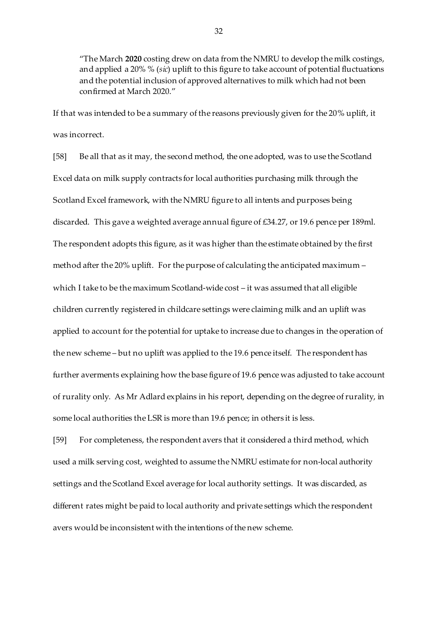"The March **2020** costing drew on data from the NMRU to develop the milk costings, and applied a 20% % (*sic*) uplift to this figure to take account of potential fluctuations and the potential inclusion of approved alternatives to milk which had not been confirmed at March 2020."

If that was intended to be a summary of the reasons previously given for the 20% uplift, it was incorrect.

[58] Be all that as it may, the second method, the one adopted, was to use the Scotland Excel data on milk supply contracts for local authorities purchasing milk through the Scotland Excel framework, with the NMRU figure to all intents and purposes being discarded. This gave a weighted average annual figure of £34.27, or 19.6 pence per 189ml. The respondent adopts this figure, as it was higher than the estimate obtained by the first method after the 20% uplift. For the purpose of calculating the anticipated maximum – which I take to be the maximum Scotland-wide cost – it was assumed that all eligible children currently registered in childcare settings were claiming milk and an uplift was applied to account for the potential for uptake to increase due to changes in the operation of the new scheme – but no uplift was applied to the 19.6 pence itself. The respondent has further averments explaining how the base figure of 19.6 pence was adjusted to take account of rurality only. As Mr Adlard explains in his report, depending on the degree of rurality, in some local authorities the LSR is more than 19.6 pence; in others it is less.

[59] For completeness, the respondent avers that it considered a third method, which used a milk serving cost, weighted to assume the NMRU estimate for non-local authority settings and the Scotland Excel average for local authority settings. It was discarded, as different rates might be paid to local authority and private settings which the respondent avers would be inconsistent with the intentions of the new scheme.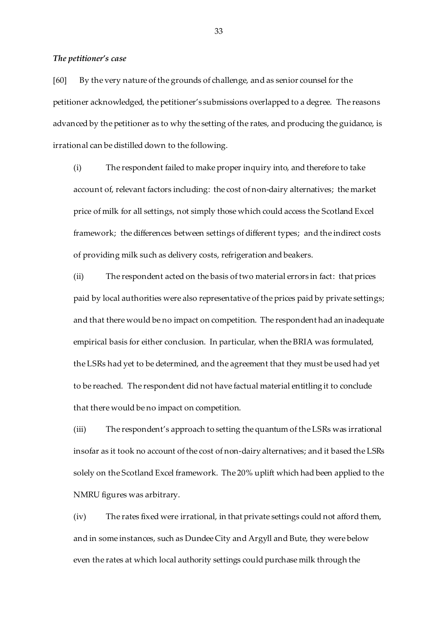#### *The petitioner's case*

[60] By the very nature of the grounds of challenge, and as senior counsel for the petitioner acknowledged, the petitioner's submissions overlapped to a degree. The reasons advanced by the petitioner as to why the setting of the rates, and producing the guidance, is irrational can be distilled down to the following.

(i) The respondent failed to make proper inquiry into, and therefore to take account of, relevant factors including: the cost of non-dairy alternatives; the market price of milk for all settings, not simply those which could access the Scotland Excel framework; the differences between settings of different types; and the indirect costs of providing milk such as delivery costs, refrigeration and beakers.

(ii) The respondent acted on the basis of two material errors in fact: that prices paid by local authorities were also representative of the prices paid by private settings; and that there would be no impact on competition. The respondent had an inadequate empirical basis for either conclusion. In particular, when the BRIA was formulated, the LSRs had yet to be determined, and the agreement that they must be used had yet to be reached. The respondent did not have factual material entitling it to conclude that there would be no impact on competition.

(iii) The respondent's approach to setting the quantum of the LSRs was irrational insofar as it took no account of the cost of non-dairy alternatives; and it based the LSRs solely on the Scotland Excel framework. The 20% uplift which had been applied to the NMRU figures was arbitrary.

(iv) The rates fixed were irrational, in that private settings could not afford them, and in some instances, such as Dundee City and Argyll and Bute, they were below even the rates at which local authority settings could purchase milk through the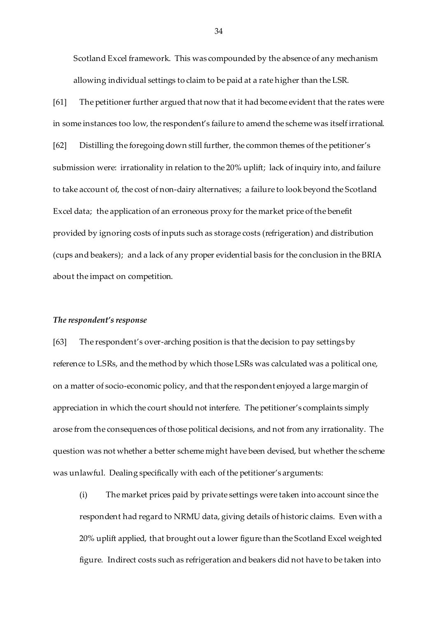Scotland Excel framework. This was compounded by the absence of any mechanism allowing individual settings to claim to be paid at a rate higher than the LSR.

[61] The petitioner further argued that now that it had become evident that the rates were in some instances too low, the respondent's failure to amend the scheme was itself irrational. [62] Distilling the foregoing down still further, the common themes of the petitioner's submission were: irrationality in relation to the 20% uplift; lack of inquiry into, and failure to take account of, the cost of non-dairy alternatives; a failure to look beyond the Scotland Excel data; the application of an erroneous proxy for the market price of the benefit provided by ignoring costs of inputs such as storage costs (refrigeration) and distribution (cups and beakers); and a lack of any proper evidential basis for the conclusion in the BRIA about the impact on competition.

#### *The respondent's response*

[63] The respondent's over-arching position is that the decision to pay settings by reference to LSRs, and the method by which those LSRs was calculated was a political one, on a matter of socio-economic policy, and that the respondent enjoyed a large margin of appreciation in which the court should not interfere. The petitioner's complaints simply arose from the consequences of those political decisions, and not from any irrationality. The question was not whether a better scheme might have been devised, but whether the scheme was unlawful. Dealing specifically with each of the petitioner's arguments:

(i) The market prices paid by private settings were taken into account since the respondent had regard to NRMU data, giving details of historic claims. Even with a 20% uplift applied, that brought out a lower figure than the Scotland Excel weighted figure. Indirect costs such as refrigeration and beakers did not have to be taken into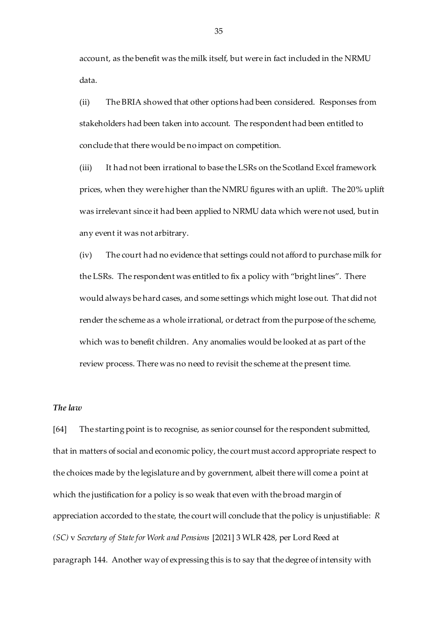account, as the benefit was the milk itself, but were in fact included in the NRMU data.

(ii) The BRIA showed that other options had been considered. Responses from stakeholders had been taken into account. The respondent had been entitled to conclude that there would be no impact on competition.

(iii) It had not been irrational to base the LSRs on the Scotland Excel framework prices, when they were higher than the NMRU figures with an uplift. The 20% uplift was irrelevant since it had been applied to NRMU data which were not used, but in any event it was not arbitrary.

(iv) The court had no evidence that settings could not afford to purchase milk for the LSRs. The respondent was entitled to fix a policy with "bright lines". There would always be hard cases, and some settings which might lose out. That did not render the scheme as a whole irrational, or detract from the purpose of the scheme, which was to benefit children. Any anomalies would be looked at as part of the review process. There was no need to revisit the scheme at the present time.

### *The law*

[64] The starting point is to recognise, as senior counsel for the respondent submitted, that in matters of social and economic policy, the court must accord appropriate respect to the choices made by the legislature and by government, albeit there will come a point at which the justification for a policy is so weak that even with the broad margin of appreciation accorded to the state, the court will conclude that the policy is unjustifiable: *R (SC)* v *Secretary of State for Work and Pensions* [2021] 3 WLR 428, per Lord Reed at paragraph 144. Another way of expressing this is to say that the degree of intensity with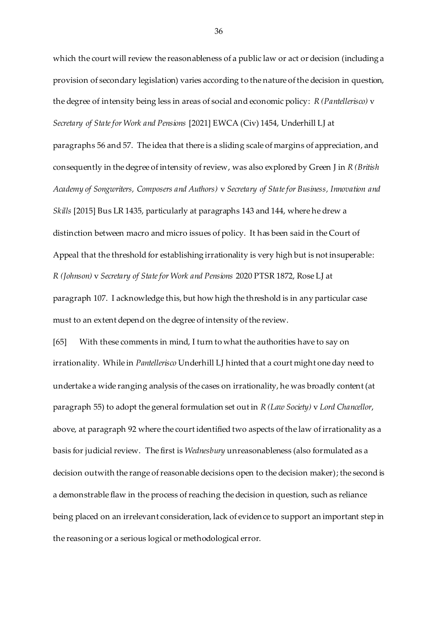which the court will review the reasonableness of a public law or act or decision (including a provision of secondary legislation) varies according to the nature of the decision in question, the degree of intensity being less in areas of social and economic policy: *R (Pantellerisco)* v *Secretary of State for Work and Pensions* [2021] EWCA (Civ) 1454, Underhill LJ at paragraphs 56 and 57. The idea that there is a sliding scale of margins of appreciation, and consequently in the degree of intensity of review, was also explored by Green J in *R (British Academy of Songwriters, Composers and Authors)* v *Secretary of State for Business, Innovation and Skills* [2015] Bus LR 1435, particularly at paragraphs 143 and 144, where he drew a distinction between macro and micro issues of policy. It has been said in the Court of Appeal that the threshold for establishing irrationality is very high but is not insuperable: *R (Johnson)* v *Secretary of State for Work and Pensions* 2020 PTSR 1872, Rose LJ at paragraph 107. I acknowledge this, but how high the threshold is in any particular case

[65] With these comments in mind, I turn to what the authorities have to say on irrationality. While in *Pantellerisco* Underhill LJ hinted that a court might one day need to undertake a wide ranging analysis of the cases on irrationality, he was broadly content (at paragraph 55) to adopt the general formulation set out in *R (Law Society)* v *Lord Chancellor*, above, at paragraph 92 where the court identified two aspects of the law of irrationality as a basis for judicial review. The first is *Wednesbury* unreasonableness (also formulated as a decision outwith the range of reasonable decisions open to the decision maker); the second is a demonstrable flaw in the process of reaching the decision in question, such as reliance being placed on an irrelevant consideration, lack of evidence to support an important step in the reasoning or a serious logical or methodological error.

must to an extent depend on the degree of intensity of the review.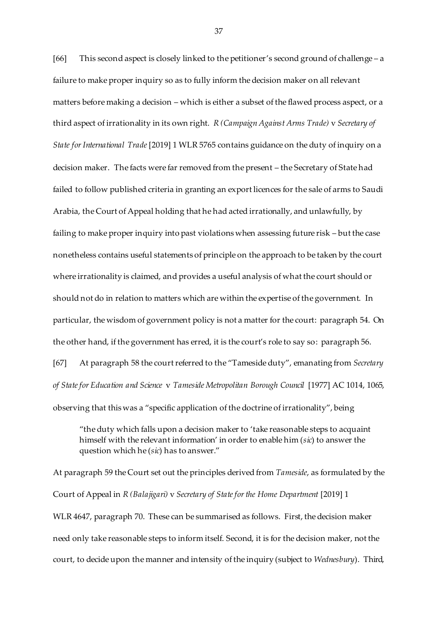[66] This second aspect is closely linked to the petitioner's second ground of challenge – a failure to make proper inquiry so as to fully inform the decision maker on all relevant matters before making a decision – which is either a subset of the flawed process aspect, or a third aspect of irrationality in its own right. *R (Campaign Against Arms Trade)* v *Secretary of State for International Trade* [2019] 1 WLR 5765 contains guidance on the duty of inquiry on a decision maker. The facts were far removed from the present – the Secretary of State had failed to follow published criteria in granting an export licences for the sale of arms to Saudi Arabia, the Court of Appeal holding that he had acted irrationally, and unlawfully, by failing to make proper inquiry into past violations when assessing future risk – but the case nonetheless contains useful statements of principle on the approach to be taken by the court where irrationality is claimed, and provides a useful analysis of what the court should or should not do in relation to matters which are within the expertise of the government. In particular, the wisdom of government policy is not a matter for the court: paragraph 54. On the other hand, if the government has erred, it is the court's role to say so: paragraph 56. [67] At paragraph 58 the court referred to the "Tameside duty", emanating from *Secretary of State for Education and Science* v *Tameside Metropolitan Borough Council* [1977] AC 1014, 1065, observing that this was a "specific application of the doctrine of irrationality", being

"the duty which falls upon a decision maker to 'take reasonable steps to acquaint himself with the relevant information' in order to enable him (*sic*) to answer the question which he (*sic*) has to answer."

At paragraph 59 the Court set out the principles derived from *Tameside*, as formulated by the Court of Appeal in *R (Balajigari)* v *Secretary of State for the Home Department* [2019] 1 WLR 4647, paragraph 70. These can be summarised as follows. First, the decision maker need only take reasonable steps to inform itself. Second, it is for the decision maker, not the court, to decide upon the manner and intensity of the inquiry (subject to *Wednesbury*). Third,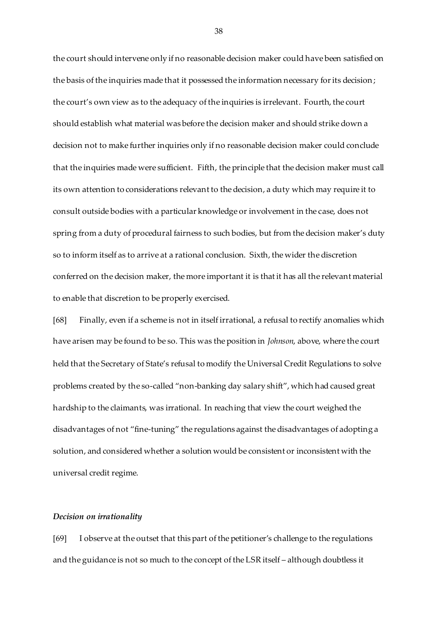the court should intervene only if no reasonable decision maker could have been satisfied on the basis of the inquiries made that it possessed the information necessary for its decision; the court's own view as to the adequacy of the inquiries is irrelevant. Fourth, the court should establish what material was before the decision maker and should strike down a decision not to make further inquiries only if no reasonable decision maker could conclude that the inquiries made were sufficient. Fifth, the principle that the decision maker must call its own attention to considerations relevant to the decision, a duty which may require it to consult outside bodies with a particular knowledge or involvement in the case, does not spring from a duty of procedural fairness to such bodies, but from the decision maker's duty so to inform itself as to arrive at a rational conclusion. Sixth, the wider the discretion conferred on the decision maker, the more important it is that it has all the relevant material to enable that discretion to be properly exercised.

[68] Finally, even if a scheme is not in itself irrational, a refusal to rectify anomalies which have arisen may be found to be so. This was the position in *Johnson*, above, where the court held that the Secretary of State's refusal to modify the Universal Credit Regulations to solve problems created by the so-called "non-banking day salary shift", which had caused great hardship to the claimants, was irrational. In reaching that view the court weighed the disadvantages of not "fine-tuning" the regulations against the disadvantages of adopting a solution, and considered whether a solution would be consistent or inconsistent with the universal credit regime.

### *Decision on irrationality*

[69] I observe at the outset that this part of the petitioner's challenge to the regulations and the guidance is not so much to the concept of the LSR itself – although doubtless it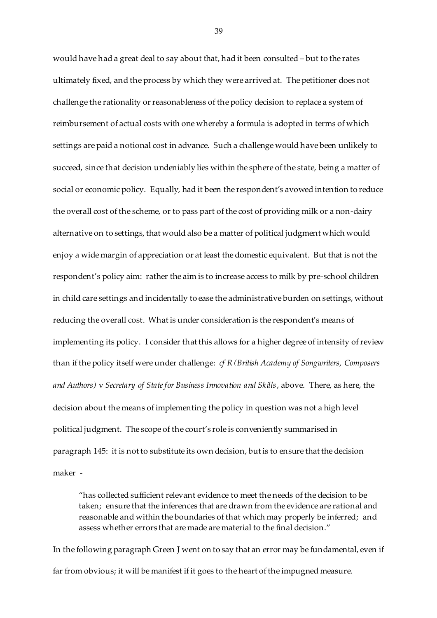would have had a great deal to say about that, had it been consulted – but to the rates ultimately fixed, and the process by which they were arrived at. The petitioner does not challenge the rationality or reasonableness of the policy decision to replace a system of reimbursement of actual costs with one whereby a formula is adopted in terms of which settings are paid a notional cost in advance. Such a challenge would have been unlikely to succeed, since that decision undeniably lies within the sphere of the state, being a matter of social or economic policy. Equally, had it been the respondent's avowed intention to reduce the overall cost of the scheme, or to pass part of the cost of providing milk or a non-dairy alternative on to settings, that would also be a matter of political judgment which would enjoy a wide margin of appreciation or at least the domestic equivalent. But that is not the respondent's policy aim: rather the aim is to increase access to milk by pre-school children in child care settings and incidentally to ease the administrative burden on settings, without reducing the overall cost. What is under consideration is the respondent's means of implementing its policy. I consider that this allows for a higher degree of intensity of review than if the policy itself were under challenge: *cf R (British Academy of Songwriters, Composers and Authors)* v *Secretary of State for Business Innovation and Skills*, above. There, as here, the decision about the means of implementing the policy in question was not a high level political judgment. The scope of the court's role is conveniently summarised in paragraph 145: it is not to substitute its own decision, but is to ensure that the decision maker -

"has collected sufficient relevant evidence to meet the needs of the decision to be taken; ensure that the inferences that are drawn from the evidence are rational and reasonable and within the boundaries of that which may properly be inferred; and assess whether errors that are made are material to the final decision."

In the following paragraph Green J went on to say that an error may be fundamental, even if far from obvious; it will be manifest if it goes to the heart of the impugned measure.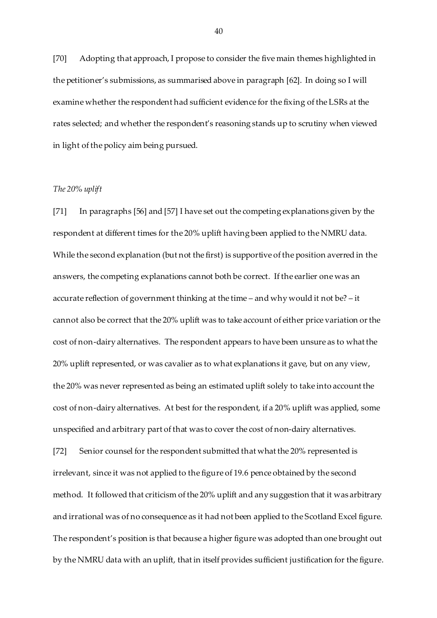[70] Adopting that approach, I propose to consider the five main themes highlighted in the petitioner's submissions, as summarised above in paragraph [62]. In doing so I will examine whether the respondent had sufficient evidence for the fixing of the LSRs at the rates selected; and whether the respondent's reasoning stands up to scrutiny when viewed in light of the policy aim being pursued.

## *The 20% uplift*

[71] In paragraphs [56] and [57] I have set out the competing explanations given by the respondent at different times for the 20% uplift having been applied to the NMRU data. While the second explanation (but not the first) is supportive of the position averred in the answers, the competing explanations cannot both be correct. If the earlier one was an accurate reflection of government thinking at the time – and why would it not be? – it cannot also be correct that the 20% uplift was to take account of either price variation or the cost of non-dairy alternatives. The respondent appears to have been unsure as to what the 20% uplift represented, or was cavalier as to what explanations it gave, but on any view, the 20% was never represented as being an estimated uplift solely to take into account the cost of non-dairy alternatives. At best for the respondent, if a 20% uplift was applied, some unspecified and arbitrary part of that was to cover the cost of non-dairy alternatives. [72] Senior counsel for the respondent submitted that what the 20% represented is

irrelevant, since it was not applied to the figure of 19.6 pence obtained by the second method. It followed that criticism of the 20% uplift and any suggestion that it was arbitrary and irrational was of no consequence as it had not been applied to the Scotland Excel figure. The respondent's position is that because a higher figure was adopted than one brought out by the NMRU data with an uplift, that in itself provides sufficient justification for the figure.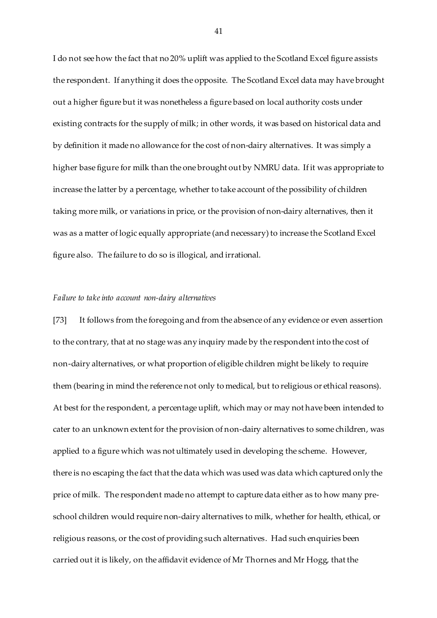I do not see how the fact that no 20% uplift was applied to the Scotland Excel figure assists the respondent. If anything it does the opposite. The Scotland Excel data may have brought out a higher figure but it was nonetheless a figure based on local authority costs under existing contracts for the supply of milk; in other words, it was based on historical data and by definition it made no allowance for the cost of non-dairy alternatives. It was simply a higher base figure for milk than the one brought out by NMRU data. If it was appropriate to increase the latter by a percentage, whether to take account of the possibility of children taking more milk, or variations in price, or the provision of non-dairy alternatives, then it was as a matter of logic equally appropriate (and necessary) to increase the Scotland Excel figure also. The failure to do so is illogical, and irrational.

#### *Failure to take into account non-dairy alternatives*

[73] It follows from the foregoing and from the absence of any evidence or even assertion to the contrary, that at no stage was any inquiry made by the respondent into the cost of non-dairy alternatives, or what proportion of eligible children might be likely to require them (bearing in mind the reference not only to medical, but to religious or ethical reasons). At best for the respondent, a percentage uplift, which may or may not have been intended to cater to an unknown extent for the provision of non-dairy alternatives to some children, was applied to a figure which was not ultimately used in developing the scheme. However, there is no escaping the fact that the data which was used was data which captured only the price of milk. The respondent made no attempt to capture data either as to how many preschool children would require non-dairy alternatives to milk, whether for health, ethical, or religious reasons, or the cost of providing such alternatives. Had such enquiries been carried out it is likely, on the affidavit evidence of Mr Thornes and Mr Hogg, that the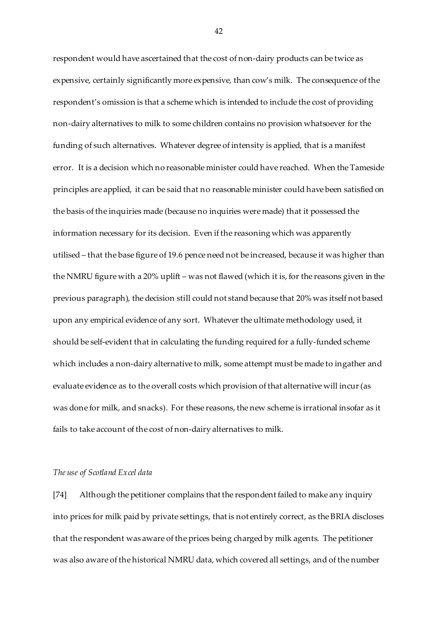respondent would have ascertained that the cost of non-dairy products can be twice as expensive, certainly significantly more expensive, than cow's milk. The consequence of the respondent's omission is that a scheme which is intended to include the cost of providing non-dairy alternatives to milk to some children contains no provision whatsoever for the funding of such alternatives. Whatever degree of intensity is applied, that is a manifest error. It is a decision which no reasonable minister could have reached. When the Tameside principles are applied, it can be said that no reasonable minister could have been satisfied on the basis of the inquiries made (because no inquiries were made) that it possessed the information necessary for its decision. Even if the reasoning which was apparently utilised – that the base figure of 19.6 pence need not be increased, because it was higher than the NMRU figure with a 20% uplift – was not flawed (which it is, for the reasons given in the previous paragraph), the decision still could not stand because that 20% was itself not based upon any empirical evidence of any sort. Whatever the ultimate methodology used, it should be self-evident that in calculating the funding required for a fully-funded scheme which includes a non-dairy alternative to milk, some attempt must be made to ingather and evaluate evidence as to the overall costs which provision of that alternative will incur (as was done for milk, and snacks). For these reasons, the new scheme is irrational insofar as it fails to take account of the cost of non-dairy alternatives to milk.

#### *The use of Scotland Excel data*

[74] Although the petitioner complains that the respondent failed to make any inquiry into prices for milk paid by private settings, that is not entirely correct, as the BRIA discloses that the respondent was aware of the prices being charged by milk agents. The petitioner was also aware of the historical NMRU data, which covered all settings, and of the number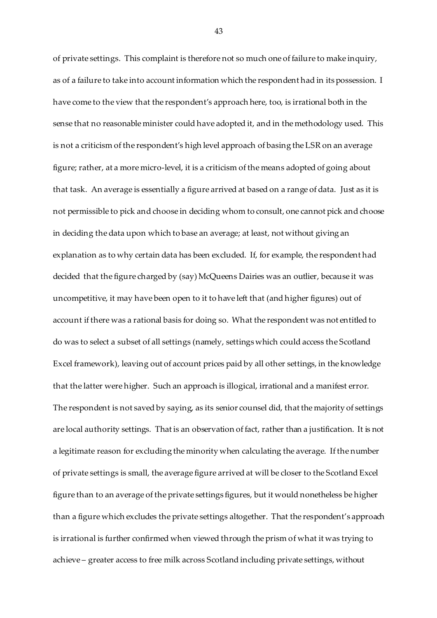of private settings. This complaint is therefore not so much one of failure to make inquiry, as of a failure to take into account information which the respondent had in its possession. I have come to the view that the respondent's approach here, too, is irrational both in the sense that no reasonable minister could have adopted it, and in the methodology used. This is not a criticism of the respondent's high level approach of basing the LSR on an average figure; rather, at a more micro-level, it is a criticism of the means adopted of going about that task. An average is essentially a figure arrived at based on a range of data. Just as it is not permissible to pick and choose in deciding whom to consult, one cannot pick and choose in deciding the data upon which to base an average; at least, not without giving an explanation as to why certain data has been excluded. If, for example, the respondent had decided that the figure charged by (say) McQueens Dairies was an outlier, because it was uncompetitive, it may have been open to it to have left that (and higher figures) out of account if there was a rational basis for doing so. What the respondent was not entitled to do was to select a subset of all settings (namely, settings which could access the Scotland Excel framework), leaving out of account prices paid by all other settings, in the knowledge that the latter were higher. Such an approach is illogical, irrational and a manifest error. The respondent is not saved by saying, as its senior counsel did, that the majority of settings are local authority settings. That is an observation of fact, rather than a justification. It is not a legitimate reason for excluding the minority when calculating the average. If the number of private settings is small, the average figure arrived at will be closer to the Scotland Excel figure than to an average of the private settings figures, but it would nonetheless be higher than a figure which excludes the private settings altogether. That the respondent's approach is irrational is further confirmed when viewed through the prism of what it was trying to achieve – greater access to free milk across Scotland including private settings, without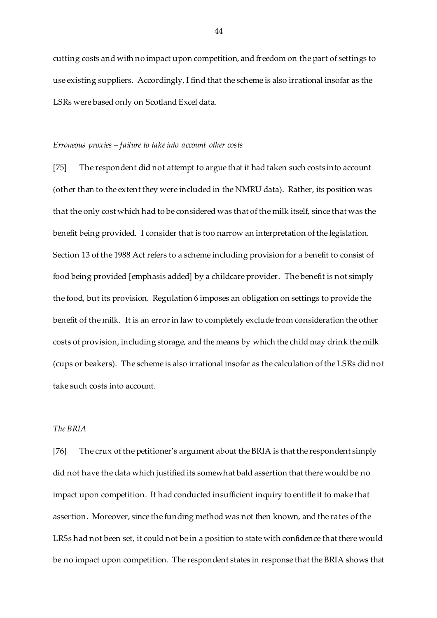cutting costs and with no impact upon competition, and freedom on the part of settings to use existing suppliers. Accordingly, I find that the scheme is also irrational insofar as the LSRs were based only on Scotland Excel data.

#### *Erroneous proxies – failure to take into account other costs*

[75] The respondent did not attempt to argue that it had taken such costs into account (other than to the extent they were included in the NMRU data). Rather, its position was that the only cost which had to be considered was that of the milk itself, since that was the benefit being provided. I consider that is too narrow an interpretation of the legislation. Section 13 of the 1988 Act refers to a scheme including provision for a benefit to consist of food being provided [emphasis added] by a childcare provider. The benefit is not simply the food, but its provision. Regulation 6 imposes an obligation on settings to provide the benefit of the milk. It is an error in law to completely exclude from consideration the other costs of provision, including storage, and the means by which the child may drink the milk (cups or beakers). The scheme is also irrational insofar as the calculation of the LSRs did not take such costs into account.

## *The BRIA*

[76] The crux of the petitioner's argument about the BRIA is that the respondent simply did not have the data which justified its somewhat bald assertion that there would be no impact upon competition. It had conducted insufficient inquiry to entitle it to make that assertion. Moreover, since the funding method was not then known, and the rates of the LRSs had not been set, it could not be in a position to state with confidence that there would be no impact upon competition. The respondent states in response that the BRIA shows that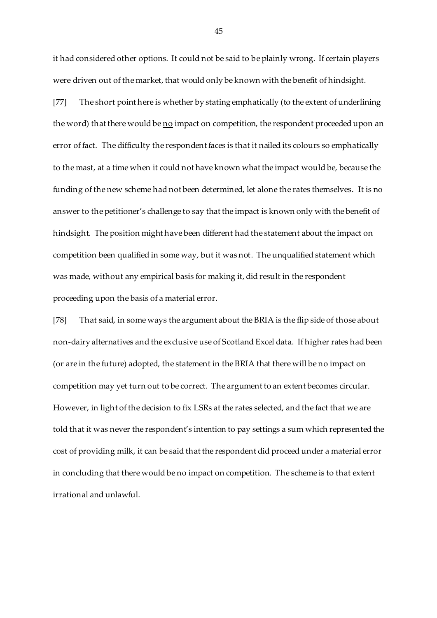it had considered other options. It could not be said to be plainly wrong. If certain players were driven out of the market, that would only be known with the benefit of hindsight.

[77] The short point here is whether by stating emphatically (to the extent of underlining the word) that there would be no impact on competition, the respondent proceeded upon an error of fact. The difficulty the respondent faces is that it nailed its colours so emphatically to the mast, at a time when it could not have known what the impact would be, because the funding of the new scheme had not been determined, let alone the rates themselves. It is no answer to the petitioner's challenge to say that the impact is known only with the benefit of hindsight. The position might have been different had the statement about the impact on competition been qualified in some way, but it was not. The unqualified statement which was made, without any empirical basis for making it, did result in the respondent proceeding upon the basis of a material error.

[78] That said, in some ways the argument about the BRIA is the flip side of those about non-dairy alternatives and the exclusive use of Scotland Excel data. If higher rates had been (or are in the future) adopted, the statement in the BRIA that there will be no impact on competition may yet turn out to be correct. The argument to an extent becomes circular. However, in light of the decision to fix LSRs at the rates selected, and the fact that we are told that it was never the respondent's intention to pay settings a sum which represented the cost of providing milk, it can be said that the respondent did proceed under a material error in concluding that there would be no impact on competition. The scheme is to that extent irrational and unlawful.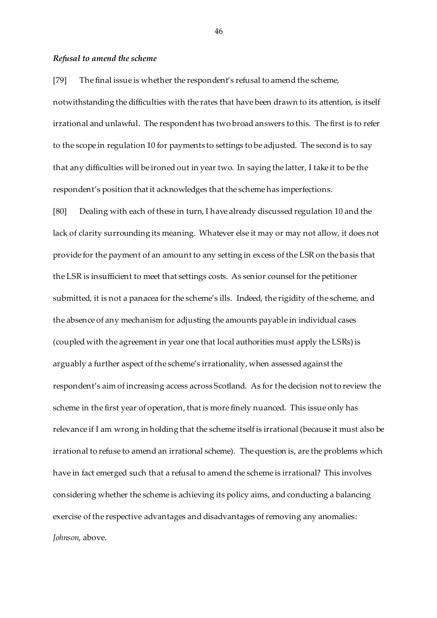### *Refusal to amend the scheme*

[79] The final issue is whether the respondent's refusal to amend the scheme,

notwithstanding the difficulties with the rates that have been drawn to its attention, is itself irrational and unlawful. The respondent has two broad answers to this. The first is to refer to the scope in regulation 10 for payments to settings to be adjusted. The second is to say that any difficulties will be ironed out in year two. In saying the latter, I take it to be the respondent's position that it acknowledges that the scheme has imperfections.

[80] Dealing with each of these in turn, I have already discussed regulation 10 and the lack of clarity surrounding its meaning. Whatever else it may or may not allow, it does not provide for the payment of an amount to any setting in excess of the LSR on the basis that the LSR is insufficient to meet that settings costs. As senior counsel for the petitioner submitted, it is not a panacea for the scheme's ills. Indeed, the rigidity of the scheme, and the absence of any mechanism for adjusting the amounts payable in individual cases (coupled with the agreement in year one that local authorities must apply the LSRs) is arguably a further aspect of the scheme's irrationality, when assessed against the respondent's aim of increasing access across Scotland. As for the decision not to review the scheme in the first year of operation, that is more finely nuanced. This issue only has relevance if I am wrong in holding that the scheme itself is irrational (because it must also be irrational to refuse to amend an irrational scheme). The question is, are the problems which have in fact emerged such that a refusal to amend the scheme is irrational? This involves considering whether the scheme is achieving its policy aims, and conducting a balancing exercise of the respective advantages and disadvantages of removing any anomalies: *Johnson*, above.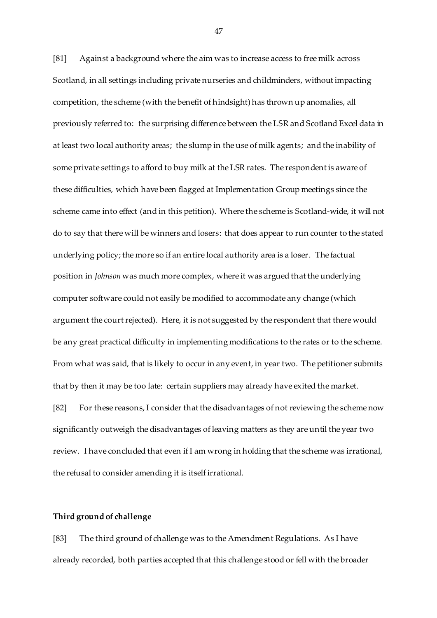[81] Against a background where the aim was to increase access to free milk across Scotland, in all settings including private nurseries and childminders, without impacting competition, the scheme (with the benefit of hindsight) has thrown up anomalies, all previously referred to: the surprising difference between the LSR and Scotland Excel data in at least two local authority areas; the slump in the use of milk agents; and the inability of some private settings to afford to buy milk at the LSR rates. The respondent is aware of these difficulties, which have been flagged at Implementation Group meetings since the scheme came into effect (and in this petition). Where the scheme is Scotland-wide, it will not do to say that there will be winners and losers: that does appear to run counter to the stated underlying policy; the more so if an entire local authority area is a loser. The factual position in *Johnson* was much more complex, where it was argued that the underlying computer software could not easily be modified to accommodate any change (which argument the court rejected). Here, it is not suggested by the respondent that there would be any great practical difficulty in implementing modifications to the rates or to the scheme. From what was said, that is likely to occur in any event, in year two. The petitioner submits that by then it may be too late: certain suppliers may already have exited the market. [82] For these reasons, I consider that the disadvantages of not reviewing the scheme now

significantly outweigh the disadvantages of leaving matters as they are until the year two review. I have concluded that even if I am wrong in holding that the scheme was irrational, the refusal to consider amending it is itself irrational.

## **Third ground of challenge**

[83] The third ground of challenge was to the Amendment Regulations. As I have already recorded, both parties accepted that this challenge stood or fell with the broader